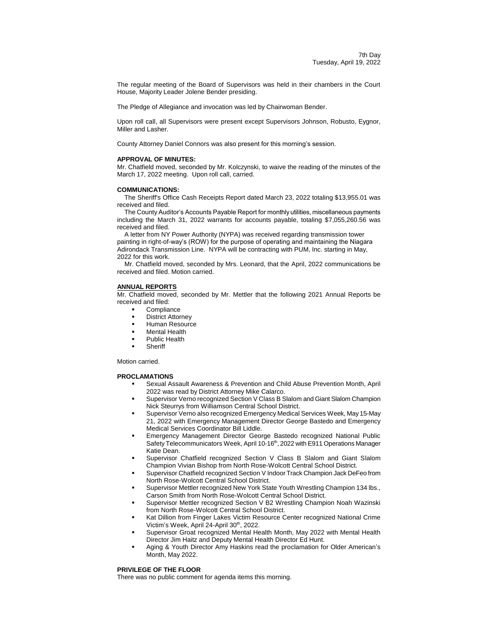The regular meeting of the Board of Supervisors was held in their chambers in the Court House, Majority Leader Jolene Bender presiding.

The Pledge of Allegiance and invocation was led by Chairwoman Bender.

Upon roll call, all Supervisors were present except Supervisors Johnson, Robusto, Eygnor, Miller and Lasher.

County Attorney Daniel Connors was also present for this morning's session.

#### **APPROVAL OF MINUTES:**

Mr. Chatfield moved, seconded by Mr. Kolczynski, to waive the reading of the minutes of the March 17, 2022 meeting. Upon roll call, carried.

#### **COMMUNICATIONS:**

The Sheriff's Office Cash Receipts Report dated March 23, 2022 totaling \$13,955.01 was received and filed.

The County Auditor's Accounts Payable Report for monthly utilities, miscellaneous payments including the March 31, 2022 warrants for accounts payable, totaling \$7,055,260.56 was received and filed.

A letter from NY Power Authority (NYPA) was received regarding transmission tower painting in right-of-way's (ROW) for the purpose of operating and maintaining the Niagara Adirondack Transmission Line. NYPA will be contracting with PUM, Inc. starting in May, 2022 for this work.

Mr. Chatfield moved, seconded by Mrs. Leonard, that the April, 2022 communications be received and filed. Motion carried.

## **ANNUAL REPORTS**

Mr. Chatfield moved, seconded by Mr. Mettler that the following 2021 Annual Reports be received and filed:

- **Compliance**
- District Attorney
- Human Resource
- Mental Health
- Public Health
- **Sheriff**

Motion carried.

### **PROCLAMATIONS**

- Sexual Assault Awareness & Prevention and Child Abuse Prevention Month, April 2022 was read by District Attorney Mike Calarco.
- Supervisor Verno recognized Section V Class B Slalom and Giant Slalom Champion Nick Steurrys from Williamson Central School District.
- Supervisor Verno also recognized Emergency Medical Services Week, May 15-May 21, 2022 with Emergency Management Director George Bastedo and Emergency Medical Services Coordinator Bill Liddle.
- Emergency Management Director George Bastedo recognized National Public Safety Telecommunicators Week, April 10-16<sup>th</sup>, 2022 with E911 Operations Manager Katie Dean.
- Supervisor Chatfield recognized Section V Class B Slalom and Giant Slalom Champion Vivian Bishop from North Rose-Wolcott Central School District.
- Supervisor Chatfield recognized Section V Indoor Track Champion Jack DeFeo from North Rose-Wolcott Central School District.
- Supervisor Mettler recognized New York State Youth Wrestling Champion 134 lbs., Carson Smith from North Rose-Wolcott Central School District.
- Supervisor Mettler recognized Section V B2 Wrestling Champion Noah Wazinski from North Rose-Wolcott Central School District.
- Kat Dillion from Finger Lakes Victim Resource Center recognized National Crime Victim's Week, April 24-April 30<sup>th</sup>, 2022.
- Supervisor Groat recognized Mental Health Month, May 2022 with Mental Health Director Jim Haitz and Deputy Mental Health Director Ed Hunt.
- Aging & Youth Director Amy Haskins read the proclamation for Older American's Month, May 2022.

#### **PRIVILEGE OF THE FLOOR**

There was no public comment for agenda items this morning.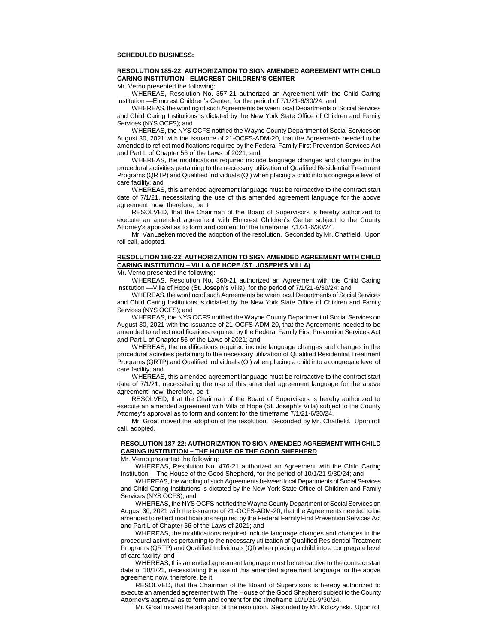## **SCHEDULED BUSINESS:**

# **RESOLUTION 185-22: AUTHORIZATION TO SIGN AMENDED AGREEMENT WITH CHILD CARING INSTITUTION - ELMCREST CHILDREN'S CENTER**

Mr. Verno presented the following:

WHEREAS, Resolution No. 357-21 authorized an Agreement with the Child Caring Institution —Elmcrest Children's Center, for the period of 7/1/21-6/30/24; and

WHEREAS, the wording of such Agreements between local Departments of Social Services and Child Caring Institutions is dictated by the New York State Office of Children and Family Services (NYS OCFS); and

WHEREAS, the NYS OCFS notified the Wayne County Department of Social Services on August 30, 2021 with the issuance of 21-OCFS-ADM-20, that the Agreements needed to be amended to reflect modifications required by the Federal Family First Prevention Services Act and Part L of Chapter 56 of the Laws of 2021; and

WHEREAS, the modifications required include language changes and changes in the procedural activities pertaining to the necessary utilization of Qualified Residential Treatment Programs (QRTP) and Qualified Individuals (QI) when placing a child into a congregate level of care facility; and

WHEREAS, this amended agreement language must be retroactive to the contract start date of 7/1/21, necessitating the use of this amended agreement language for the above agreement; now, therefore, be it

RESOLVED, that the Chairman of the Board of Supervisors is hereby authorized to execute an amended agreement with Elmcrest Children's Center subject to the County Attorney's approval as to form and content for the timeframe 7/1/21-6/30/24.

Mr. VanLaeken moved the adoption of the resolution. Seconded by Mr. Chatfield. Upon roll call, adopted.

# **RESOLUTION 186-22: AUTHORIZATION TO SIGN AMENDED AGREEMENT WITH CHILD CARING INSTITUTION – VILLA OF HOPE (ST. JOSEPH'S VILLA)**

Mr. Verno presented the following:

WHEREAS, Resolution No. 360-21 authorized an Agreement with the Child Caring Institution —Villa of Hope (St. Joseph's Villa), for the period of 7/1/21-6/30/24; and

WHEREAS, the wording of such Agreements between local Departments of Social Services and Child Caring Institutions is dictated by the New York State Office of Children and Family Services (NYS OCFS); and

WHEREAS, the NYS OCFS notified the Wayne County Department of Social Services on August 30, 2021 with the issuance of 21-OCFS-ADM-20, that the Agreements needed to be amended to reflect modifications required by the Federal Family First Prevention Services Act and Part L of Chapter 56 of the Laws of 2021; and

WHEREAS, the modifications required include language changes and changes in the procedural activities pertaining to the necessary utilization of Qualified Residential Treatment Programs (QRTP) and Qualified Individuals (QI) when placing a child into a congregate level of care facility; and

WHEREAS, this amended agreement language must be retroactive to the contract start date of 7/1/21, necessitating the use of this amended agreement language for the above agreement; now, therefore, be it

RESOLVED, that the Chairman of the Board of Supervisors is hereby authorized to execute an amended agreement with Villa of Hope (St. Joseph's Villa) subject to the County Attorney's approval as to form and content for the timeframe 7/1/21-6/30/24.

Mr. Groat moved the adoption of the resolution. Seconded by Mr. Chatfield. Upon roll call, adopted.

# **RESOLUTION 187-22: AUTHORIZATION TO SIGN AMENDED AGREEMENT WITH CHILD CARING INSTITUTION – THE HOUSE OF THE GOOD SHEPHERD**

Mr. Verno presented the following:

WHEREAS, Resolution No. 476-21 authorized an Agreement with the Child Caring Institution —The House of the Good Shepherd, for the period of 10/1/21-9/30/24; and

WHEREAS, the wording of such Agreements between local Departments of Social Services and Child Caring Institutions is dictated by the New York State Office of Children and Family Services (NYS OCFS); and

WHEREAS, the NYS OCFS notified the Wayne County Department of Social Services on August 30, 2021 with the issuance of 21-OCFS-ADM-20, that the Agreements needed to be amended to reflect modifications required by the Federal Family First Prevention Services Act and Part L of Chapter 56 of the Laws of 2021; and

WHEREAS, the modifications required include language changes and changes in the procedural activities pertaining to the necessary utilization of Qualified Residential Treatment Programs (QRTP) and Qualified Individuals (QI) when placing a child into a congregate level of care facility; and

WHEREAS, this amended agreement language must be retroactive to the contract start date of 10/1/21, necessitating the use of this amended agreement language for the above agreement; now, therefore, be it

RESOLVED, that the Chairman of the Board of Supervisors is hereby authorized to execute an amended agreement with The House of the Good Shepherd subject to the County Attorney's approval as to form and content for the timeframe 10/1/21-9/30/24.

Mr. Groat moved the adoption of the resolution. Seconded by Mr. Kolczynski. Upon roll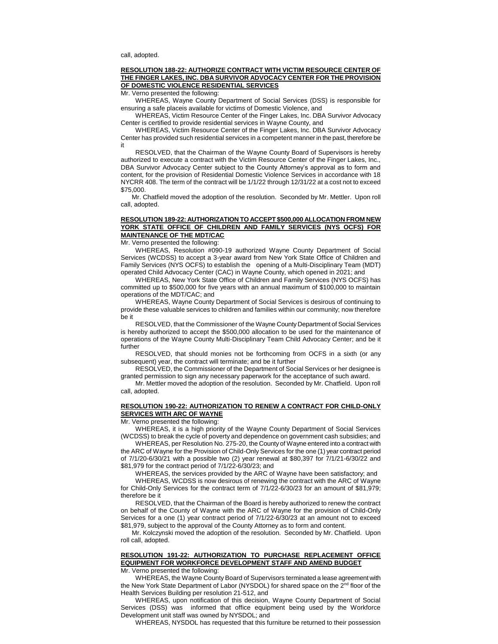#### **RESOLUTION 188-22: AUTHORIZE CONTRACT WITH VICTIM RESOURCE CENTER OF THE FINGER LAKES, INC. DBA SURVIVOR ADVOCACY CENTER FOR THE PROVISION OF DOMESTIC VIOLENCE RESIDENTIAL SERVICES**

Mr. Verno presented the following:

WHEREAS, Wayne County Department of Social Services (DSS) is responsible for ensuring a safe placeis available for victims of Domestic Violence, and

WHEREAS, Victim Resource Center of the Finger Lakes, Inc. DBA Survivor Advocacy Center is certified to provide residential services in Wayne County, and

WHEREAS, Victim Resource Center of the Finger Lakes, Inc. DBA Survivor Advocacy Center has provided such residential services in a competent manner in the past, therefore be it

RESOLVED, that the Chairman of the Wayne County Board of Supervisors is hereby authorized to execute a contract with the Victim Resource Center of the Finger Lakes, Inc., DBA Survivor Advocacy Center subject to the County Attorney's approval as to form and content, for the provision of Residential Domestic Violence Services in accordance with 18 NYCRR 408. The term of the contract will be 1/1/22 through 12/31/22 at a cost not to exceed \$75,000.

Mr. Chatfield moved the adoption of the resolution. Seconded by Mr. Mettler. Upon roll call, adopted.

# **RESOLUTION 189-22: AUTHORIZATION TO ACCEPT \$500,000 ALLOCATION FROM NEW YORK STATE OFFICE OF CHILDREN AND FAMILY SERVICES (NYS OCFS) FOR MAINTENANCE OF THE MDT/CAC**

Mr. Verno presented the following:

WHEREAS, Resolution #090-19 authorized Wayne County Department of Social Services (WCDSS) to accept a 3-year award from New York State Office of Children and Family Services (NYS OCFS) to establish the opening of a Multi-Disciplinary Team (MDT) operated Child Advocacy Center (CAC) in Wayne County, which opened in 2021; and

WHEREAS, New York State Office of Children and Family Services (NYS OCFS) has committed up to \$500,000 for five years with an annual maximum of \$100,000 to maintain operations of the MDT/CAC; and

WHEREAS, Wayne County Department of Social Services is desirous of continuing to provide these valuable services to children and families within our community; now therefore be it

RESOLVED, that the Commissioner of the Wayne County Department of Social Services is hereby authorized to accept the \$500,000 allocation to be used for the maintenance of operations of the Wayne County Multi-Disciplinary Team Child Advocacy Center; and be it further

RESOLVED, that should monies not be forthcoming from OCFS in a sixth (or any subsequent) year, the contract will terminate; and be it further

RESOLVED, the Commissioner of the Department of Social Services or her designee is granted permission to sign any necessary paperwork for the acceptance of such award.

Mr. Mettler moved the adoption of the resolution. Seconded by Mr. Chatfield. Upon roll call, adopted.

# **RESOLUTION 190-22: AUTHORIZATION TO RENEW A CONTRACT FOR CHILD-ONLY SERVICES WITH ARC OF WAYNE**

Mr. Verno presented the following:

WHEREAS, it is a high priority of the Wayne County Department of Social Services (WCDSS) to break the cycle of poverty and dependence on government cash subsidies; and

WHEREAS, per Resolution No. 275-20, the County of Wayne entered into a contract with the ARC of Wayne for the Provision of Child-Only Services for the one (1) year contract period of 7/1/20-6/30/21 with a possible two (2) year renewal at \$80,397 for 7/1/21-6/30/22 and \$81,979 for the contract period of 7/1/22-6/30/23; and

WHEREAS, the services provided by the ARC of Wayne have been satisfactory; and

WHEREAS, WCDSS is now desirous of renewing the contract with the ARC of Wayne for Child-Only Services for the contract term of 7/1/22-6/30/23 for an amount of \$81,979; therefore be it

RESOLVED, that the Chairman of the Board is hereby authorized to renew the contract on behalf of the County of Wayne with the ARC of Wayne for the provision of Child-Only Services for a one (1) year contract period of 7/1/22-6/30/23 at an amount not to exceed \$81,979, subject to the approval of the County Attorney as to form and content.

Mr. Kolczynski moved the adoption of the resolution. Seconded by Mr. Chatfield. Upon roll call, adopted.

# **RESOLUTION 191-22: AUTHORIZATION TO PURCHASE REPLACEMENT OFFICE EQUIPMENT FOR WORKFORCE DEVELOPMENT STAFF AND AMEND BUDGET**

Mr. Verno presented the following:

WHEREAS, the Wayne County Board of Supervisors terminated a lease agreement with the New York State Department of Labor (NYSDOL) for shared space on the 2<sup>nd</sup> floor of the Health Services Building per resolution 21-512, and

WHEREAS, upon notification of this decision, Wayne County Department of Social Services (DSS) was informed that office equipment being used by the Workforce Development unit staff was owned by NYSDOL; and

WHEREAS, NYSDOL has requested that this furniture be returned to their possession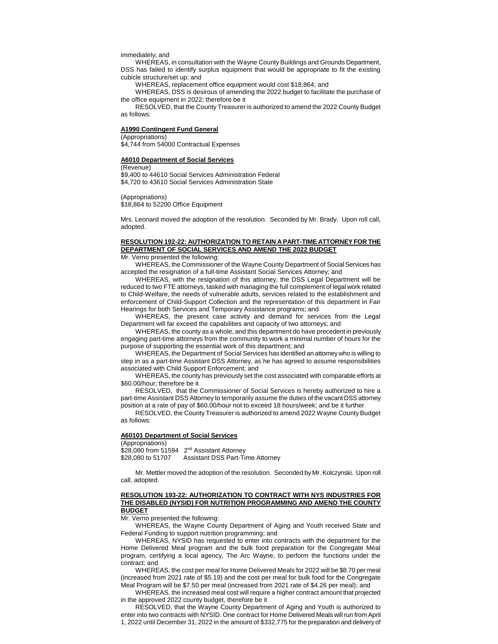immediately; and

WHEREAS, in consultation with the Wayne County Buildings and Grounds Department, DSS has failed to identify surplus equipment that would be appropriate to fit the existing cubicle structure/set up; and

WHEREAS, replacement office equipment would cost \$18,864; and

WHEREAS, DSS is desirous of amending the 2022 budget to facilitate the purchase of the office equipment in 2022; therefore be it

RESOLVED, that the County Treasurer is authorized to amend the 2022 County Budget as follows:

#### **A1990 Contingent Fund General**

(Appropriations)

\$4,744 from 54000 Contractual Expenses

#### **A6010 Department of Social Services**

(Revenue)

\$9,400 to 44610 Social Services Administration Federal \$4,720 to 43610 Social Services Administration State

(Appropriations)

\$18,864 to 52200 Office Equipment

Mrs. Leonard moved the adoption of the resolution. Seconded by Mr. Brady. Upon roll call, adopted.

# **RESOLUTION 192-22: AUTHORIZATION TO RETAIN A PART-TIME ATTORNEYFOR THE DEPARTMENT OF SOCIAL SERVICES AND AMEND THE 2022 BUDGET**

Mr. Verno presented the following:

WHEREAS, the Commissioner of the Wayne County Department of Social Services has accepted the resignation of a full-time Assistant Social Services Attorney; and

WHEREAS, with the resignation of this attorney, the DSS Legal Department will be reduced to two FTE attorneys, tasked with managing the full complement of legal work related to Child-Welfare, the needs of vulnerable adults, services related to the establishment and enforcement of Child-Support Collection and the representation of this department in Fair Hearings for both Services and Temporary Assistance programs; and

WHEREAS, the present case activity and demand for services from the Legal Department will far exceed the capabilities and capacity of two attorneys; and

WHEREAS, the county as a whole, and this department do have precedent in previously engaging part-time attorneys from the community to work a minimal number of hours for the purpose of supporting the essential work of this department; and

WHEREAS, the Department of Social Services has identified an attorney who is willing to step in as a part-time Assistant DSS Attorney, as he has agreed to assume responsibilities associated with Child Support Enforcement; and

WHEREAS, the county has previously set the cost associated with comparable efforts at \$60.00/hour; therefore be it

RESOLVED, that the Commissioner of Social Services is hereby authorized to hire a part-time Assistant DSS Attorney to temporarily assume the duties of the vacant DSS attorney position at a rate of pay of \$60.00/hour not to exceed 18 hours/week; and be it further

RESOLVED, the County Treasurer is authorized to amend 2022 Wayne County Budget as follows:

#### **A60101 Department of Social Services**

(Appropriations)  $$28,080$  from 51594  $2<sup>nd</sup>$  Assistant Attorney<br> $$28,080$  to 51707 Assistant DSS Part-Ti Assistant DSS Part-Time Attorney

Mr. Mettler moved the adoption of the resolution. Seconded by Mr. Kolczynski. Upon roll call, adopted.

#### **RESOLUTION 193-22: AUTHORIZATION TO CONTRACT WITH NYS INDUSTRIES FOR THE DISABLED (NYSID) FOR NUTRITION PROGRAMMING AND AMEND THE COUNTY BUDGET**

Mr. Verno presented the following:

WHEREAS, the Wayne County Department of Aging and Youth received State and Federal Funding to support nutrition programming; and

WHEREAS, NYSID has requested to enter into contracts with the department for the Home Delivered Meal program and the bulk food preparation for the Congregate Meal program, certifying a local agency, The Arc Wayne, to perform the functions under the contract; and

WHEREAS, the cost per meal for Home Delivered Meals for 2022 will be \$8.70 per meal (increased from 2021 rate of \$5.19) and the cost per meal for bulk food for the Congregate Meal Program will be \$7.50 per meal (increased from 2021 rate of \$4.26 per meal); and

WHEREAS, the increased meal cost will require a higher contract amount that projected in the approved 2022 county budget, therefore be it

RESOLVED, that the Wayne County Department of Aging and Youth is authorized to enter into two contracts with NYSID. One contract for Home Delivered Meals will run from April 1, 2022 until December 31, 2022 in the amount of \$332,775 for the preparation and delivery of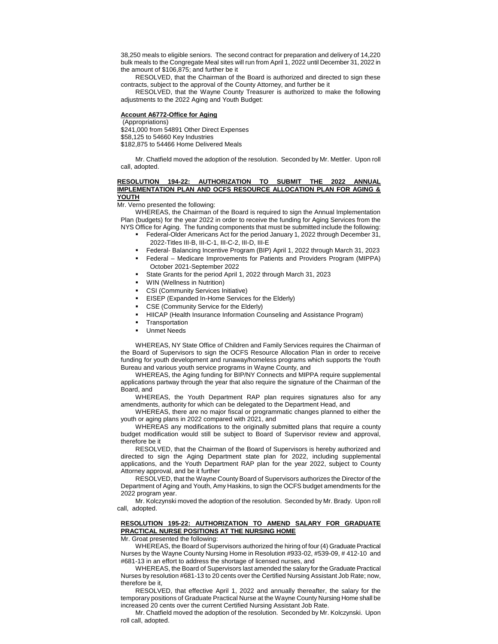38,250 meals to eligible seniors. The second contract for preparation and delivery of 14,220 bulk meals to the Congregate Meal sites will run from April 1, 2022 until December 31, 2022 in the amount of \$106,875; and further be it

RESOLVED, that the Chairman of the Board is authorized and directed to sign these contracts, subject to the approval of the County Attorney, and further be it

RESOLVED, that the Wayne County Treasurer is authorized to make the following adjustments to the 2022 Aging and Youth Budget:

# **Account A6772-Office for Aging**

(Appropriations) \$241,000 from 54891 Other Direct Expenses \$58,125 to 54660 Key Industries \$182,875 to 54466 Home Delivered Meals

Mr. Chatfield moved the adoption of the resolution. Seconded by Mr. Mettler. Upon roll call, adopted.

#### **RESOLUTION 194-22: AUTHORIZATION TO SUBMIT THE 2022 ANNUAL IMPLEMENTATION PLAN AND OCFS RESOURCE ALLOCATION PLAN FOR AGING & YOUTH**

Mr. Verno presented the following:

WHEREAS, the Chairman of the Board is required to sign the Annual Implementation Plan (budgets) for the year 2022 in order to receive the funding for Aging Services from the NYS Office for Aging. The funding components that must be submitted include the following:

- Federal-Older Americans Act for the period January 1, 2022 through December 31, 2022-Titles III-B, III-C-1, III-C-2, III-D, III-E
- Federal- Balancing Incentive Program (BIP) April 1, 2022 through March 31, 2023
- Federal Medicare Improvements for Patients and Providers Program (MIPPA) October 2021-September 2022
- State Grants for the period April 1, 2022 through March 31, 2023
- WIN (Wellness in Nutrition)
- CSI (Community Services Initiative)
- EISEP (Expanded In-Home Services for the Elderly)
- CSE (Community Service for the Elderly)
- HIICAP (Health Insurance Information Counseling and Assistance Program)
- **Transportation**
- Unmet Needs

WHEREAS, NY State Office of Children and Family Services requires the Chairman of the Board of Supervisors to sign the OCFS Resource Allocation Plan in order to receive funding for youth development and runaway/homeless programs which supports the Youth Bureau and various youth service programs in Wayne County, and

WHEREAS, the Aging funding for BIP/NY Connects and MIPPA require supplemental applications partway through the year that also require the signature of the Chairman of the Board, and

WHEREAS, the Youth Department RAP plan requires signatures also for any amendments, authority for which can be delegated to the Department Head, and

WHEREAS, there are no major fiscal or programmatic changes planned to either the youth or aging plans in 2022 compared with 2021, and

WHEREAS any modifications to the originally submitted plans that require a county budget modification would still be subject to Board of Supervisor review and approval, therefore be it

RESOLVED, that the Chairman of the Board of Supervisors is hereby authorized and directed to sign the Aging Department state plan for 2022, including supplemental applications, and the Youth Department RAP plan for the year 2022, subject to County Attorney approval, and be it further

RESOLVED, that the Wayne County Board of Supervisors authorizes the Director of the Department of Aging and Youth, Amy Haskins, to sign the OCFS budget amendments for the 2022 program year.

Mr. Kolczynski moved the adoption of the resolution. Seconded by Mr. Brady. Upon roll call, adopted.

# **RESOLUTION 195-22: AUTHORIZATION TO AMEND SALARY FOR GRADUATE PRACTICAL NURSE POSITIONS AT THE NURSING HOME**

Mr. Groat presented the following:

WHEREAS, the Board of Supervisors authorized the hiring of four (4) Graduate Practical Nurses by the Wayne County Nursing Home in Resolution #933-02, #539-09, # 412-10 and #681-13 in an effort to address the shortage of licensed nurses, and

WHEREAS, the Board of Supervisors last amended the salary for the Graduate Practical Nurses by resolution #681-13 to 20 cents over the Certified Nursing Assistant Job Rate; now, therefore be it,

RESOLVED, that effective April 1, 2022 and annually thereafter, the salary for the temporary positions of Graduate Practical Nurse at the Wayne County Nursing Home shall be increased 20 cents over the current Certified Nursing Assistant Job Rate.

Mr. Chatfield moved the adoption of the resolution. Seconded by Mr. Kolczynski. Upon roll call, adopted.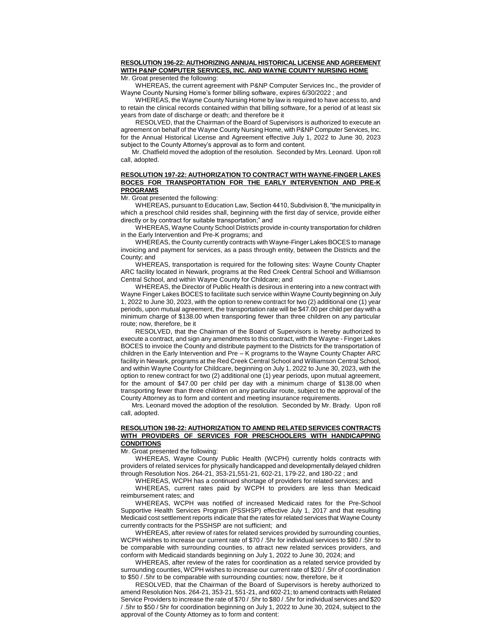# **RESOLUTION 196-22: AUTHORIZING ANNUAL HISTORICAL LICENSE AND AGREEMENT WITH P&NP COMPUTER SERVICES, INC. AND WAYNE COUNTY NURSING HOME**

Mr. Groat presented the following:

WHEREAS, the current agreement with P&NP Computer Services Inc., the provider of Wayne County Nursing Home's former billing software, expires 6/30/2022 ; and

WHEREAS, the Wayne County Nursing Home by law is required to have access to, and to retain the clinical records contained within that billing software, for a period of at least six years from date of discharge or death; and therefore be it

RESOLVED, that the Chairman of the Board of Supervisors is authorized to execute an agreement on behalf of the Wayne County Nursing Home, with P&NP Computer Services, Inc. for the Annual Historical License and Agreement effective July 1, 2022 to June 30, 2023 subject to the County Attorney's approval as to form and content.

Mr. Chatfield moved the adoption of the resolution. Seconded by Mrs. Leonard. Upon roll call, adopted.

## **RESOLUTION 197-22: AUTHORIZATION TO CONTRACT WITH WAYNE-FINGER LAKES BOCES FOR TRANSPORTATION FOR THE EARLY INTERVENTION AND PRE-K PROGRAMS**

Mr. Groat presented the following:

WHEREAS, pursuant to Education Law, Section 4410, Subdivision 8, "the municipality in which a preschool child resides shall, beginning with the first day of service, provide either directly or by contract for suitable transportation;" and

WHEREAS, Wayne County School Districts provide in-county transportation for children in the Early Intervention and Pre-K programs; and

WHEREAS, the County currently contracts with Wayne-Finger Lakes BOCES to manage invoicing and payment for services, as a pass through entity, between the Districts and the County; and

WHEREAS, transportation is required for the following sites: Wayne County Chapter ARC facility located in Newark, programs at the Red Creek Central School and Williamson Central School, and within Wayne County for Childcare; and

WHEREAS, the Director of Public Health is desirous in entering into a new contract with Wayne Finger Lakes BOCES to facilitate such service within Wayne County beginning on July 1, 2022 to June 30, 2023, with the option to renew contract for two (2) additional one (1) year periods, upon mutual agreement, the transportation rate will be \$47.00 per child per day with a minimum charge of \$138.00 when transporting fewer than three children on any particular route; now, therefore, be it

RESOLVED, that the Chairman of the Board of Supervisors is hereby authorized to execute a contract, and sign any amendments to this contract, with the Wayne - Finger Lakes BOCES to invoice the County and distribute payment to the Districts for the transportation of children in the Early Intervention and Pre – K programs to the Wayne County Chapter ARC facility in Newark, programs at the Red Creek Central School and Williamson Central School, and within Wayne County for Childcare, beginning on July 1, 2022 to June 30, 2023, with the option to renew contract for two (2) additional one (1) year periods, upon mutual agreement, for the amount of \$47.00 per child per day with a minimum charge of \$138.00 when transporting fewer than three children on any particular route, subject to the approval of the County Attorney as to form and content and meeting insurance requirements.

Mrs. Leonard moved the adoption of the resolution. Seconded by Mr. Brady. Upon roll call, adopted.

## **RESOLUTION 198-22: AUTHORIZATION TO AMEND RELATED SERVICES CONTRACTS WITH PROVIDERS OF SERVICES FOR PRESCHOOLERS WITH HANDICAPPING CONDITIONS**

Mr. Groat presented the following:

WHEREAS, Wayne County Public Health (WCPH) currently holds contracts with providers of related services for physically handicapped and developmentally delayed children through Resolution Nos. 264-21, 353-21,551-21, 602-21, 179-22, and 180-22 ; and

WHEREAS, WCPH has a continued shortage of providers for related services; and WHEREAS, current rates paid by WCPH to providers are less than Medicaid reimbursement rates; and

WHEREAS, WCPH was notified of increased Medicaid rates for the Pre-School Supportive Health Services Program (PSSHSP) effective July 1, 2017 and that resulting Medicaid cost settlement reports indicate that the rates for related services that Wayne County currently contracts for the PSSHSP are not sufficient; and

WHEREAS, after review of rates for related services provided by surrounding counties, WCPH wishes to increase our current rate of \$70 / .5hr for individual services to \$80 / .5hr to be comparable with surrounding counties, to attract new related services providers, and conform with Medicaid standards beginning on July 1, 2022 to June 30, 2024; and

WHEREAS, after review of the rates for coordination as a related service provided by surrounding counties, WCPH wishes to increase our current rate of \$20 / .5hr of coordination to \$50 / .5hr to be comparable with surrounding counties; now, therefore, be it

RESOLVED, that the Chairman of the Board of Supervisors is hereby authorized to amend Resolution Nos. 264-21, 353-21, 551-21, and 602-21; to amend contracts with Related Service Providers to increase the rate of \$70 / .5hr to \$80 / .5hr for individual services and \$20 / .5hr to \$50 / 5hr for coordination beginning on July 1, 2022 to June 30, 2024, subject to the approval of the County Attorney as to form and content: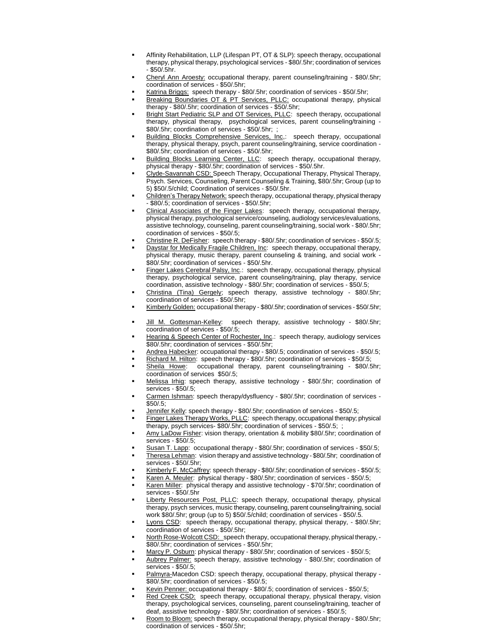- Affinity Rehabilitation, LLP (Lifespan PT, OT & SLP): speech therapy, occupational therapy, physical therapy, psychological services - \$80/.5hr; coordination of services  $-$  \$50/ $.5$ hr.
- Cheryl Ann Aroesty: occupational therapy, parent counseling/training \$80/.5hr; coordination of services - \$50/.5hr;
- Katrina Briggs: speech therapy \$80/.5hr; coordination of services \$50/.5hr;
- Breaking Boundaries OT & PT Services, PLLC: occupational therapy, physical therapy - \$80/.5hr; coordination of services - \$50/.5hr;
- Bright Start Pediatric SLP and OT Services, PLLC: speech therapy, occupational therapy, physical therapy, psychological services, parent counseling/training - \$80/.5hr; coordination of services - \$50/.5hr; ;
- Building Blocks Comprehensive Services, Inc,: speech therapy, occupational therapy, physical therapy, psych, parent counseling/training, service coordination - \$80/.5hr; coordination of services - \$50/.5hr;
- Building Blocks Learning Center, LLC: speech therapy, occupational therapy, physical therapy - \$80/.5hr; coordination of services - \$50/.5hr.
- Clyde-Savannah CSD: Speech Therapy, Occupational Therapy, Physical Therapy, Psych. Services, Counseling, Parent Counseling & Training, \$80/.5hr; Group (up to 5) \$50/.5/child; Coordination of services - \$50/.5hr.
- Children's Therapy Network: speech therapy, occupational therapy, physical therapy - \$80/.5; coordination of services - \$50/.5hr;
- Clinical Associates of the Finger Lakes: speech therapy, occupational therapy, physical therapy, psychological service/counseling, audiology services/evaluations, assistive technology, counseling, parent counseling/training, social work - \$80/.5hr; coordination of services - \$50/.5;
- Christine R. DeFisher: speech therapy \$80/.5hr; coordination of services \$50/.5;
- Daystar for Medically Fragile Children, Inc: speech therapy, occupational therapy, physical therapy, music therapy, parent counseling & training, and social work - \$80/.5hr; coordination of services - \$50/.5hr.
- Finger Lakes Cerebral Palsy, Inc.: speech therapy, occupational therapy, physical therapy, psychological service, parent counseling/training, play therapy, service coordination, assistive technology - \$80/.5hr; coordination of services - \$50/.5;
- Christina (Tina) Gergely; speech therapy, assistive technology \$80/.5hr; coordination of services - \$50/.5hr;
- Kimberly Golden: occupational therapy \$80/.5hr; coordination of services \$50/.5hr;
- Jill M. Gottesman-Kelley: speech therapy, assistive technology \$80/.5hr; coordination of services - \$50/.5;
- Hearing & Speech Center of Rochester, Inc.: speech therapy, audiology services \$80/.5hr; coordination of services - \$50/.5hr;
- Andrea Habecker: occupational therapy \$80/.5; coordination of services \$50/.5;
- Richard M. Hilton: speech therapy \$80/.5hr; coordination of services \$50/.5;
- Sheila Howe: occupational therapy, parent counseling/training \$80/.5hr; coordination of services \$50/.5;
- Melissa Irhig: speech therapy, assistive technology \$80/.5hr; coordination of services - \$50/.5;
- Carmen Ishman: speech therapy/dysfluency \$80/.5hr; coordination of services \$50/.5;
- Jennifer Kelly: speech therapy \$80/.5hr; coordination of services \$50/.5;
- Finger Lakes Therapy Works, PLLC: speech therapy, occupational therapy; physical therapy, psych services- \$80/.5hr; coordination of services - \$50/.5; ;
- Amy LaDow Fisher: vision therapy, orientation & mobility \$80/.5hr; coordination of services - \$50/.5;
- Susan T. Lapp: occupational therapy \$80/.5hr; coordination of services \$50/.5;
- Theresa Lehman: vision therapy and assistive technology \$80/.5hr; coordination of services - \$50/.5hr;
- Kimberly F. McCaffrey: speech therapy \$80/.5hr; coordination of services \$50/.5;
- Karen A. Meuler: physical therapy \$80/.5hr; coordination of services \$50/.5;
- Karen Miller: physical therapy and assistive technology \$70/.5hr; coordination of services - \$50/.5hr
- Liberty Resources Post, PLLC: speech therapy, occupational therapy, physical therapy, psych services, music therapy, counseling, parent counseling/training, social work \$80/.5hr; group (up to 5) \$50/.5/child; coordination of services - \$50/.5.
- Lyons CSD: speech therapy, occupational therapy, physical therapy, \$80/.5hr; coordination of services - \$50/.5hr;
- North Rose-Wolcott CSD: speech therapy, occupational therapy, physical therapy, \$80/.5hr; coordination of services - \$50/.5hr;
- Marcy P. Osburn: physical therapy \$80/.5hr; coordination of services \$50/.5;
- Aubrey Palmer: speech therapy, assistive technology \$80/.5hr; coordination of services - \$50/.5;
- Palmyra-Macedon CSD: speech therapy, occupational therapy, physical therapy \$80/.5hr; coordination of services - \$50/.5;
- Kevin Penner: occupational therapy \$80/.5; coordination of services \$50/.5;
- Red Creek CSD: speech therapy, occupational therapy, physical therapy, vision therapy, psychological services, counseling, parent counseling/training, teacher of deaf, assistive technology - \$80/.5hr; coordination of services - \$50/.5;
- Room to Bloom: speech therapy, occupational therapy, physical therapy \$80/.5hr; coordination of services - \$50/.5hr;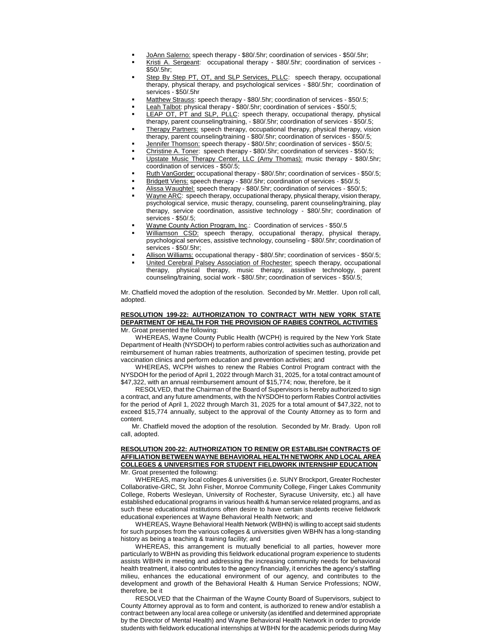- JoAnn Salerno: speech therapy \$80/.5hr; coordination of services \$50/.5hr;
- Kristi A. Sergeant: occupational therapy \$80/.5hr; coordination of services \$50/.5hr;
- Step By Step PT, OT, and SLP Services, PLLC: speech therapy, occupational therapy, physical therapy, and psychological services - \$80/.5hr; coordination of services - \$50/.5hr
- Matthew Strauss: speech therapy \$80/.5hr; coordination of services \$50/.5;
- Leah Talbot: physical therapy \$80/.5hr; coordination of services \$50/.5;
- LEAP OT, PT and SLP, PLLC: speech therapy, occupational therapy, physical therapy, parent counseling/training, - \$80/.5hr; coordination of services - \$50/.5;
- Therapy Partners: speech therapy, occupational therapy, physical therapy, vision therapy, parent counseling/training - \$80/.5hr; coordination of services - \$50/.5;
- Jennifer Thomson: speech therapy \$80/.5hr; coordination of services \$50/.5;
- Christine A. Toner: speech therapy \$80/.5hr; coordination of services \$50/.5; Upstate Music Therapy Center, LLC (Amy Thomas): music therapy - \$80/.5hr; coordination of services - \$50/.5;
- Ruth VanGorder: occupational therapy \$80/.5hr; coordination of services \$50/.5;
- Bridgett Viens: speech therapy \$80/.5hr; coordination of services \$50/.5;
- Alissa Waughtel: speech therapy \$80/.5hr; coordination of services \$50/.5;
- Wayne ARC: speech therapy, occupational therapy, physical therapy, vision therapy, psychological service, music therapy, counseling, parent counseling/training, play therapy, service coordination, assistive technology - \$80/.5hr; coordination of services - \$50/.5;
- Wayne County Action Program, Inc.: Coordination of services \$50/.5
- Williamson CSD: speech therapy, occupational therapy, physical therapy, psychological services, assistive technology, counseling - \$80/.5hr; coordination of services - \$50/.5hr;
- Allison Williams: occupational therapy \$80/.5hr; coordination of services \$50/.5;
- United Cerebral Palsey Association of Rochester: speech therapy, occupational therapy, physical therapy, music therapy, assistive technology, parent counseling/training, social work - \$80/.5hr; coordination of services - \$50/.5;

Mr. Chatfield moved the adoption of the resolution. Seconded by Mr. Mettler. Upon roll call, adopted.

#### **RESOLUTION 199-22: AUTHORIZATION TO CONTRACT WITH NEW YORK STATE DEPARTMENT OF HEALTH FOR THE PROVISION OF RABIES CONTROL ACTIVITIES** Mr. Groat presented the following:

WHEREAS, Wayne County Public Health (WCPH) is required by the New York State Department of Health (NYSDOH) to perform rabies control activities such as authorization and reimbursement of human rabies treatments, authorization of specimen testing, provide pet vaccination clinics and perform education and prevention activities; and

WHEREAS, WCPH wishes to renew the Rabies Control Program contract with the NYSDOH for the period of April 1, 2022 through March 31, 2025, for a total contract amount of \$47,322, with an annual reimbursement amount of \$15,774; now, therefore, be it

RESOLVED, that the Chairman of the Board of Supervisors is hereby authorized to sign a contract, and any future amendments, with the NYSDOH to perform Rabies Control activities for the period of April 1, 2022 through March 31, 2025 for a total amount of \$47,322, not to exceed \$15,774 annually, subject to the approval of the County Attorney as to form and content.

Mr. Chatfield moved the adoption of the resolution. Seconded by Mr. Brady. Upon roll call, adopted.

## **RESOLUTION 200-22: AUTHORIZATION TO RENEW OR ESTABLISH CONTRACTS OF AFFILIATION BETWEEN WAYNE BEHAVIORAL HEALTH NETWORK AND LOCAL AREA COLLEGES & UNIVERSITIES FOR STUDENT FIELDWORK INTERNSHIP EDUCATION**  Mr. Groat presented the following:

WHEREAS, many local colleges & universities (i.e. SUNY Brockport, Greater Rochester Collaborative-GRC, St. John Fisher, Monroe Community College, Finger Lakes Community College, Roberts Wesleyan, University of Rochester, Syracuse University, etc.) all have established educational programs in various health & human service related programs, and as such these educational institutions often desire to have certain students receive fieldwork educational experiences at Wayne Behavioral Health Network; and

WHEREAS, Wayne Behavioral Health Network (WBHN) is willing to accept said students for such purposes from the various colleges & universities given WBHN has a long-standing history as being a teaching & training facility; and

WHEREAS, this arrangement is mutually beneficial to all parties, however more particularly to WBHN as providing this fieldwork educational program experience to students assists WBHN in meeting and addressing the increasing community needs for behavioral health treatment, it also contributes to the agency financially, it enriches the agency's staffing milieu, enhances the educational environment of our agency, and contributes to the development and growth of the Behavioral Health & Human Service Professions; NOW, therefore, be it

RESOLVED that the Chairman of the Wayne County Board of Supervisors, subject to County Attorney approval as to form and content, is authorized to renew and/or establish a contract between any local area college or university (as identified and determined appropriate by the Director of Mental Health) and Wayne Behavioral Health Network in order to provide students with fieldwork educational internships at WBHN for the academic periods during May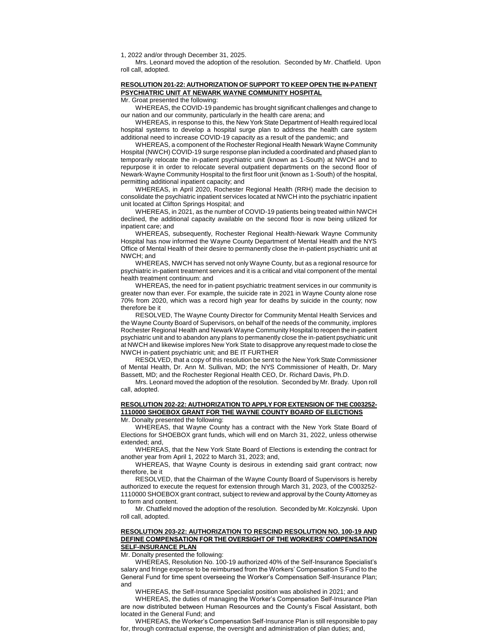1, 2022 and/or through December 31, 2025.

Mrs. Leonard moved the adoption of the resolution. Seconded by Mr. Chatfield. Upon roll call, adopted.

# **RESOLUTION 201-22: AUTHORIZATION OF SUPPORT TO KEEP OPEN THE IN-PATIENT PSYCHIATRIC UNIT AT NEWARK WAYNE COMMUNITY HOSPITAL**

Mr. Groat presented the following:

WHEREAS, the COVID-19 pandemic has brought significant challenges and change to our nation and our community, particularly in the health care arena; and

WHEREAS, in response to this, the New York State Department of Health required local hospital systems to develop a hospital surge plan to address the health care system additional need to increase COVID-19 capacity as a result of the pandemic; and

WHEREAS, a component of the Rochester Regional Health Newark Wayne Community Hospital (NWCH) COVID-19 surge response plan included a coordinated and phased plan to temporarily relocate the in-patient psychiatric unit (known as 1-South) at NWCH and to repurpose it in order to relocate several outpatient departments on the second floor of Newark-Wayne Community Hospital to the first floor unit (known as 1-South) of the hospital, permitting additional inpatient capacity; and

WHEREAS, in April 2020, Rochester Regional Health (RRH) made the decision to consolidate the psychiatric inpatient services located at NWCH into the psychiatric inpatient unit located at Clifton Springs Hospital; and

WHEREAS, in 2021, as the number of COVID-19 patients being treated within NWCH declined, the additional capacity available on the second floor is now being utilized for inpatient care; and

WHEREAS, subsequently, Rochester Regional Health-Newark Wayne Community Hospital has now informed the Wayne County Department of Mental Health and the NYS Office of Mental Health of their desire to permanently close the in-patient psychiatric unit at NWCH; and

WHEREAS, NWCH has served not only Wayne County, but as a regional resource for psychiatric in-patient treatment services and it is a critical and vital component of the mental health treatment continuum: and

WHEREAS, the need for in-patient psychiatric treatment services in our community is greater now than ever. For example, the suicide rate in 2021 in Wayne County alone rose 70% from 2020, which was a record high year for deaths by suicide in the county; now therefore be it

RESOLVED, The Wayne County Director for Community Mental Health Services and the Wayne County Board of Supervisors, on behalf of the needs of the community, implores Rochester Regional Health and Newark Wayne Community Hospital to reopen the in-patient psychiatric unit and to abandon any plans to permanently close the in-patient psychiatric unit at NWCH and likewise implores New York State to disapprove any request made to close the NWCH in-patient psychiatric unit; and BE IT FURTHER

RESOLVED, that a copy of this resolution be sent to the New York State Commissioner of Mental Health, Dr. Ann M. Sullivan, MD; the NYS Commissioner of Health, Dr. Mary Bassett, MD; and the Rochester Regional Health CEO, Dr. Richard Davis, Ph.D.

Mrs. Leonard moved the adoption of the resolution. Seconded by Mr. Brady. Upon roll call, adopted.

# **RESOLUTION 202-22: AUTHORIZATION TO APPLY FOR EXTENSION OF THE C003252- 1110000 SHOEBOX GRANT FOR THE WAYNE COUNTY BOARD OF ELECTIONS**

Mr. Donalty presented the following:

WHEREAS, that Wayne County has a contract with the New York State Board of Elections for SHOEBOX grant funds, which will end on March 31, 2022, unless otherwise extended; and,

WHEREAS, that the New York State Board of Elections is extending the contract for another year from April 1, 2022 to March 31, 2023; and,

WHEREAS, that Wayne County is desirous in extending said grant contract; now therefore, be it

RESOLVED, that the Chairman of the Wayne County Board of Supervisors is hereby authorized to execute the request for extension through March 31, 2023, of the C003252- 1110000 SHOEBOX grant contract, subject to review and approval by the County Attorney as to form and content.

Mr. Chatfield moved the adoption of the resolution. Seconded by Mr. Kolczynski. Upon roll call, adopted.

# **RESOLUTION 203-22: AUTHORIZATION TO RESCIND RESOLUTION NO. 100-19 AND DEFINE COMPENSATION FOR THE OVERSIGHT OF THE WORKERS' COMPENSATION SELF-INSURANCE PLAN**

Mr. Donalty presented the following:

WHEREAS, Resolution No. 100-19 authorized 40% of the Self-Insurance Specialist's salary and fringe expense to be reimbursed from the Workers' Compensation S Fund to the General Fund for time spent overseeing the Worker's Compensation Self-Insurance Plan; and

WHEREAS, the Self-Insurance Specialist position was abolished in 2021; and

WHEREAS, the duties of managing the Worker's Compensation Self-Insurance Plan are now distributed between Human Resources and the County's Fiscal Assistant, both located in the General Fund; and

WHEREAS, the Worker's Compensation Self-Insurance Plan is still responsible to pay for, through contractual expense, the oversight and administration of plan duties; and,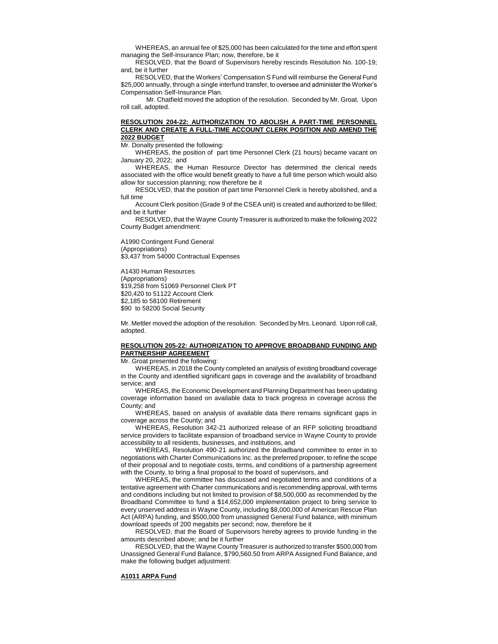WHEREAS, an annual fee of \$25,000 has been calculated for the time and effort spent managing the Self-Insurance Plan; now, therefore, be it

RESOLVED, that the Board of Supervisors hereby rescinds Resolution No. 100-19; and, be it further

RESOLVED, that the Workers' Compensation S Fund will reimburse the General Fund \$25,000 annually, through a single interfund transfer, to oversee and administer the Worker's Compensation Self-Insurance Plan.

Mr. Chatfield moved the adoption of the resolution. Seconded by Mr. Groat. Upon roll call, adopted.

# **RESOLUTION 204-22: AUTHORIZATION TO ABOLISH A PART-TIME PERSONNEL CLERK AND CREATE A FULL-TIME ACCOUNT CLERK POSITION AND AMEND THE 2022 BUDGET**

Mr. Donalty presented the following:

WHEREAS, the position of part time Personnel Clerk (21 hours) became vacant on January 20, 2022; and

WHEREAS, the Human Resource Director has determined the clerical needs associated with the office would benefit greatly to have a full time person which would also allow for succession planning; now therefore be it

RESOLVED, that the position of part time Personnel Clerk is hereby abolished, and a full time

Account Clerk position (Grade 9 of the CSEA unit) is created and authorized to be filled; and be it further

RESOLVED, that the Wayne County Treasurer is authorized to make the following 2022 County Budget amendment:

A1990 Contingent Fund General (Appropriations) \$3,437 from 54000 Contractual Expenses

A1430 Human Resources (Appropriations) \$19,258 from 51069 Personnel Clerk PT \$20,420 to 51122 Account Clerk \$2,185 to 58100 Retirement \$90 to 58200 Social Security

Mr. Mettler moved the adoption of the resolution. Seconded by Mrs. Leonard. Upon roll call, adopted.

# **RESOLUTION 205-22: AUTHORIZATION TO APPROVE BROADBAND FUNDING AND PARTNERSHIP AGREEMENT**

Mr. Groat presented the following:

WHEREAS, in 2018 the County completed an analysis of existing broadband coverage in the County and identified significant gaps in coverage and the availability of broadband service; and

WHEREAS, the Economic Development and Planning Department has been updating coverage information based on available data to track progress in coverage across the County; and

WHEREAS, based on analysis of available data there remains significant gaps in coverage across the County; and

WHEREAS, Resolution 342-21 authorized release of an RFP soliciting broadband service providers to facilitate expansion of broadband service in Wayne County to provide accessibility to all residents, businesses, and institutions, and

WHEREAS, Resolution 490-21 authorized the Broadband committee to enter in to negotiations with Charter Communications Inc. as the preferred proposer, to refine the scope of their proposal and to negotiate costs, terms, and conditions of a partnership agreement with the County, to bring a final proposal to the board of supervisors, and

WHEREAS, the committee has discussed and negotiated terms and conditions of a tentative agreement with Charter communications and is recommending approval, with terms and conditions including but not limited to provision of \$8,500,000 as recommended by the Broadband Committee to fund a \$14,652,000 implementation project to bring service to every unserved address in Wayne County, including \$8,000,000 of American Rescue Plan Act (ARPA) funding, and \$500,000 from unassigned General Fund balance, with minimum download speeds of 200 megabits per second; now, therefore be it

RESOLVED, that the Board of Supervisors hereby agrees to provide funding in the amounts described above; and be it further

RESOLVED, that the Wayne County Treasurer is authorized to transfer \$500,000 from Unassigned General Fund Balance, \$790,560.50 from ARPA Assigned Fund Balance, and make the following budget adjustment:

# **A1011 ARPA Fund**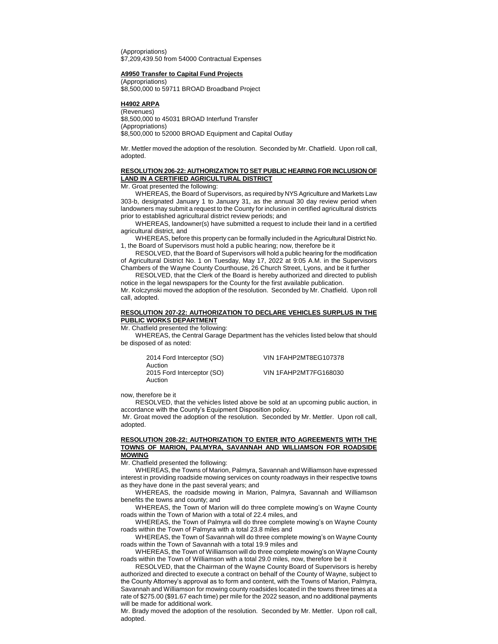(Appropriations) \$7,209,439.50 from 54000 Contractual Expenses

#### **A9950 Transfer to Capital Fund Projects**

(Appropriations)  $$8,500,000$  to 59711 BROAD Broadband Project

#### **H4902 ARPA**

(Revenues) \$8,500,000 to 45031 BROAD Interfund Transfer (Appropriations) \$8,500,000 to 52000 BROAD Equipment and Capital Outlay

Mr. Mettler moved the adoption of the resolution. Seconded by Mr. Chatfield. Upon roll call, adopted.

## **RESOLUTION 206-22: AUTHORIZATION TO SET PUBLIC HEARING FOR INCLUSION OF LAND IN A CERTIFIED AGRICULTURAL DISTRICT**

Mr. Groat presented the following:

WHEREAS, the Board of Supervisors, as required by NYS Agriculture and Markets Law 303-b, designated January 1 to January 31, as the annual 30 day review period when landowners may submit a request to the County for inclusion in certified agricultural districts prior to established agricultural district review periods; and

WHEREAS, landowner(s) have submitted a request to include their land in a certified agricultural district, and

WHEREAS, before this property can be formally included in the Agricultural District No. 1, the Board of Supervisors must hold a public hearing; now, therefore be it

RESOLVED, that the Board of Supervisors will hold a public hearing for the modification of Agricultural District No. 1 on Tuesday, May 17, 2022 at 9:05 A.M. in the Supervisors Chambers of the Wayne County Courthouse, 26 Church Street, Lyons, and be it further

RESOLVED, that the Clerk of the Board is hereby authorized and directed to publish notice in the legal newspapers for the County for the first available publication. Mr. Kolczynski moved the adoption of the resolution. Seconded by Mr. Chatfield. Upon roll

## **RESOLUTION 207-22: AUTHORIZATION TO DECLARE VEHICLES SURPLUS IN THE PUBLIC WORKS DEPARTMENT**

Mr. Chatfield presented the following:

WHEREAS, the Central Garage Department has the vehicles listed below that should be disposed of as noted:

| 2014 Ford Interceptor (SO) | <b>VIN 1FAHP2MT8EG107378</b> |
|----------------------------|------------------------------|
| Auction                    |                              |
| 2015 Ford Interceptor (SO) | VIN 1FAHP2MT7FG168030        |
| Auction                    |                              |

now, therefore be it

call, adopted.

RESOLVED, that the vehicles listed above be sold at an upcoming public auction, in accordance with the County's Equipment Disposition policy.

Mr. Groat moved the adoption of the resolution. Seconded by Mr. Mettler. Upon roll call, adopted.

#### **RESOLUTION 208-22: AUTHORIZATION TO ENTER INTO AGREEMENTS WITH THE TOWNS OF MARION, PALMYRA, SAVANNAH AND WILLIAMSON FOR ROADSIDE MOWING**

Mr. Chatfield presented the following:

WHEREAS, the Towns of Marion, Palmyra, Savannah and Williamson have expressed interest in providing roadside mowing services on county roadways in their respective towns as they have done in the past several years; and

WHEREAS, the roadside mowing in Marion, Palmyra, Savannah and Williamson benefits the towns and county; and

WHEREAS, the Town of Marion will do three complete mowing's on Wayne County roads within the Town of Marion with a total of 22.4 miles, and

WHEREAS, the Town of Palmyra will do three complete mowing's on Wayne County roads within the Town of Palmyra with a total 23.8 miles and

WHEREAS, the Town of Savannah will do three complete mowing's on Wayne County roads within the Town of Savannah with a total 19.9 miles and

WHEREAS, the Town of Williamson will do three complete mowing's on Wayne County roads within the Town of Williamson with a total 29.0 miles, now, therefore be it

RESOLVED, that the Chairman of the Wayne County Board of Supervisors is hereby authorized and directed to execute a contract on behalf of the County of Wayne, subject to the County Attorney's approval as to form and content, with the Towns of Marion, Palmyra, Savannah and Williamson for mowing county roadsides located in the towns three times at a rate of \$275.00 (\$91.67 each time) per mile for the 2022 season, and no additional payments will be made for additional work.

Mr. Brady moved the adoption of the resolution. Seconded by Mr. Mettler. Upon roll call, adopted.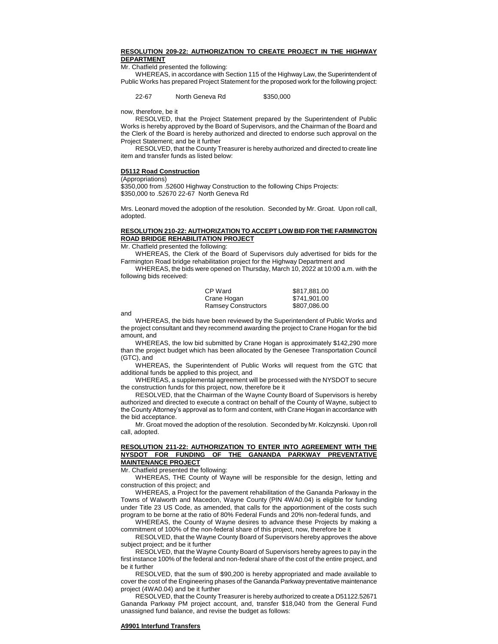## **RESOLUTION 209-22: AUTHORIZATION TO CREATE PROJECT IN THE HIGHWAY DEPARTMENT**

Mr. Chatfield presented the following:

WHEREAS, in accordance with Section 115 of the Highway Law, the Superintendent of Public Works has prepared Project Statement for the proposed work for the following project:

#### 22-67 North Geneva Rd \$350,000

now, therefore, be it

RESOLVED, that the Project Statement prepared by the Superintendent of Public Works is hereby approved by the Board of Supervisors, and the Chairman of the Board and the Clerk of the Board is hereby authorized and directed to endorse such approval on the Project Statement; and be it further

RESOLVED, that the County Treasurer is hereby authorized and directed to create line item and transfer funds as listed below:

#### **D5112 Road Construction**

(Appropriations)

\$350,000 from .52600 Highway Construction to the following Chips Projects: \$350,000 to .52670 22-67 North Geneva Rd

Mrs. Leonard moved the adoption of the resolution. Seconded by Mr. Groat. Upon roll call, adopted.

# **RESOLUTION 210-22: AUTHORIZATION TO ACCEPT LOW BID FOR THE FARMINGTON ROAD BRIDGE REHABILITATION PROJECT**

Mr. Chatfield presented the following:

WHEREAS, the Clerk of the Board of Supervisors duly advertised for bids for the Farmington Road bridge rehabilitation project for the Highway Department and

WHEREAS, the bids were opened on Thursday, March 10, 2022 at 10:00 a.m. with the following bids received:

| CP Ward                    | \$817.881.00 |
|----------------------------|--------------|
| Crane Hogan                | \$741,901.00 |
| <b>Ramsey Constructors</b> | \$807,086.00 |

and

WHEREAS, the bids have been reviewed by the Superintendent of Public Works and the project consultant and they recommend awarding the project to Crane Hogan for the bid amount, and

WHEREAS, the low bid submitted by Crane Hogan is approximately \$142,290 more than the project budget which has been allocated by the Genesee Transportation Council (GTC), and

WHEREAS, the Superintendent of Public Works will request from the GTC that additional funds be applied to this project, and

WHEREAS, a supplemental agreement will be processed with the NYSDOT to secure the construction funds for this project, now, therefore be it

RESOLVED, that the Chairman of the Wayne County Board of Supervisors is hereby authorized and directed to execute a contract on behalf of the County of Wayne, subject to the County Attorney's approval as to form and content, with Crane Hogan in accordance with the bid acceptance.

Mr. Groat moved the adoption of the resolution. Seconded by Mr. Kolczynski. Upon roll call, adopted.

## **RESOLUTION 211-22: AUTHORIZATION TO ENTER INTO AGREEMENT WITH THE NYSDOT FOR FUNDING OF THE GANANDA PARKWAY PREVENTATIVE MAINTENANCE PROJECT**

Mr. Chatfield presented the following:

WHEREAS, THE County of Wayne will be responsible for the design, letting and construction of this project; and

WHEREAS, a Project for the pavement rehabilitation of the Gananda Parkway in the Towns of Walworth and Macedon, Wayne County (PIN 4WA0.04) is eligible for funding under Title 23 US Code, as amended, that calls for the apportionment of the costs such program to be borne at the ratio of 80% Federal Funds and 20% non-federal funds, and

WHEREAS, the County of Wayne desires to advance these Projects by making a commitment of 100% of the non-federal share of this project, now, therefore be it

RESOLVED, that the Wayne County Board of Supervisors hereby approves the above subject project; and be it further

RESOLVED, that the Wayne County Board of Supervisors hereby agrees to pay in the first instance 100% of the federal and non-federal share of the cost of the entire project, and be it further

RESOLVED, that the sum of \$90,200 is hereby appropriated and made available to cover the cost of the Engineering phases of the Gananda Parkway preventative maintenance project (4WA0.04) and be it further

RESOLVED, that the County Treasurer is hereby authorized to create a D51122.52671 Gananda Parkway PM project account, and, transfer \$18,040 from the General Fund unassigned fund balance, and revise the budget as follows:

# **A9901 Interfund Transfers**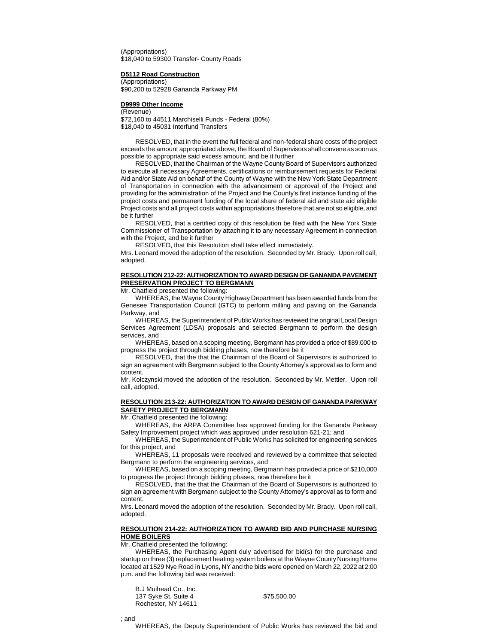(Appropriations) \$18,040 to 59300 Transfer- County Roads

#### **D5112 Road Construction**

(Appropriations) \$90,200 to 52928 Gananda Parkway PM

#### **D9999 Other Income**

(Revenue) \$72,160 to 44511 Marchiselli Funds - Federal (80%) \$18,040 to 45031 Interfund Transfers

RESOLVED, that in the event the full federal and non-federal share costs of the project exceeds the amount appropriated above, the Board of Supervisors shall convene as soon as possible to appropriate said excess amount, and be it further

RESOLVED, that the Chairman of the Wayne County Board of Supervisors authorized to execute all necessary Agreements, certifications or reimbursement requests for Federal Aid and/or State Aid on behalf of the County of Wayne with the New York State Department of Transportation in connection with the advancement or approval of the Project and providing for the administration of the Project and the County's first instance funding of the project costs and permanent funding of the local share of federal aid and state aid eligible Project costs and all project costs within appropriations therefore that are not so eligible, and be it further

RESOLVED, that a certified copy of this resolution be filed with the New York State Commissioner of Transportation by attaching it to any necessary Agreement in connection with the Project, and be it further

RESOLVED, that this Resolution shall take effect immediately.

Mrs. Leonard moved the adoption of the resolution. Seconded by Mr. Brady. Upon roll call, adopted.

## **RESOLUTION 212-22: AUTHORIZATION TO AWARD DESIGN OF GANANDA PAVEMENT PRESERVATION PROJECT TO BERGMANN**

Mr. Chatfield presented the following:

WHEREAS, the Wayne County Highway Department has been awarded funds from the Genesee Transportation Council (GTC) to perform milling and paving on the Gananda Parkway, and

WHEREAS, the Superintendent of Public Works has reviewed the original Local Design Services Agreement (LDSA) proposals and selected Bergmann to perform the design services, and

WHEREAS, based on a scoping meeting, Bergmann has provided a price of \$89,000 to progress the project through bidding phases, now therefore be it

RESOLVED, that the that the Chairman of the Board of Supervisors is authorized to sign an agreement with Bergmann subject to the County Attorney's approval as to form and content.

Mr. Kolczynski moved the adoption of the resolution. Seconded by Mr. Mettler. Upon roll call, adopted.

# **RESOLUTION 213-22: AUTHORIZATION TO AWARD DESIGN OF GANANDA PARKWAY SAFETY PROJECT TO BERGMANN**

Mr. Chatfield presented the following:

WHEREAS, the ARPA Committee has approved funding for the Gananda Parkway Safety Improvement project which was approved under resolution 621-21; and

WHEREAS, the Superintendent of Public Works has solicited for engineering services for this project, and

WHEREAS, 11 proposals were received and reviewed by a committee that selected Bergmann to perform the engineering services, and

WHEREAS, based on a scoping meeting, Bergmann has provided a price of \$210,000 to progress the project through bidding phases, now therefore be it

RESOLVED, that the that the Chairman of the Board of Supervisors is authorized to sign an agreement with Bergmann subject to the County Attorney's approval as to form and content.

Mrs. Leonard moved the adoption of the resolution. Seconded by Mr. Brady. Upon roll call, adopted.

#### **RESOLUTION 214-22: AUTHORIZATION TO AWARD BID AND PURCHASE NURSING HOME BOILERS**

Mr. Chatfield presented the following:

WHEREAS, the Purchasing Agent duly advertised for bid(s) for the purchase and startup on three (3) replacement heating system boilers at the Wayne County Nursing Home located at 1529 Nye Road in Lyons, NY and the bids were opened on March 22, 2022 at 2:00 p.m. and the following bid was received:

B.J Muihead Co., Inc. 137 Syke St. Suite 4  $$75,500.00$ Rochester, NY 14611

; and

WHEREAS, the Deputy Superintendent of Public Works has reviewed the bid and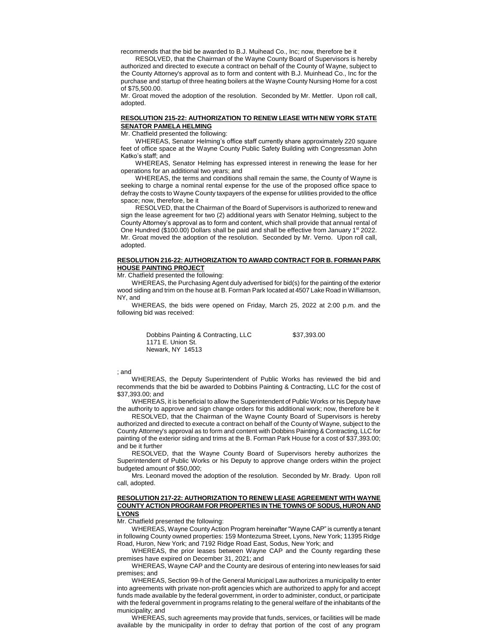recommends that the bid be awarded to B.J. Muihead Co., Inc; now, therefore be it

RESOLVED, that the Chairman of the Wayne County Board of Supervisors is hereby authorized and directed to execute a contract on behalf of the County of Wayne, subject to the County Attorney's approval as to form and content with B.J. Muinhead Co., Inc for the purchase and startup of three heating boilers at the Wayne County Nursing Home for a cost of \$75,500.00.

Mr. Groat moved the adoption of the resolution. Seconded by Mr. Mettler. Upon roll call, adopted.

# **RESOLUTION 215-22: AUTHORIZATION TO RENEW LEASE WITH NEW YORK STATE SENATOR PAMELA HELMING**

Mr. Chatfield presented the following:

WHEREAS, Senator Helming's office staff currently share approximately 220 square feet of office space at the Wayne County Public Safety Building with Congressman John Katko's staff; and

WHEREAS, Senator Helming has expressed interest in renewing the lease for her operations for an additional two years; and

WHEREAS, the terms and conditions shall remain the same, the County of Wayne is seeking to charge a nominal rental expense for the use of the proposed office space to defray the costs to Wayne County taxpayers of the expense for utilities provided to the office space; now, therefore, be it

RESOLVED, that the Chairman of the Board of Supervisors is authorized to renew and sign the lease agreement for two (2) additional years with Senator Helming, subject to the County Attorney's approval as to form and content, which shall provide that annual rental of One Hundred (\$100.00) Dollars shall be paid and shall be effective from January 1st 2022. Mr. Groat moved the adoption of the resolution. Seconded by Mr. Verno. Upon roll call, adopted.

## **RESOLUTION 216-22: AUTHORIZATION TO AWARD CONTRACT FOR B. FORMAN PARK HOUSE PAINTING PROJECT**

Mr. Chatfield presented the following:

WHEREAS, the Purchasing Agent duly advertised for bid(s) for the painting of the exterior wood siding and trim on the house at B. Forman Park located at 4507 Lake Road in Williamson, NY, and

WHEREAS, the bids were opened on Friday, March 25, 2022 at 2:00 p.m. and the following bid was received:

> Dobbins Painting & Contracting, LLC \$37,393.00 1171 E. Union St. Newark, NY 14513

#### ; and

WHEREAS, the Deputy Superintendent of Public Works has reviewed the bid and recommends that the bid be awarded to Dobbins Painting & Contracting, LLC for the cost of \$37,393.00; and

WHEREAS, it is beneficial to allow the Superintendent of Public Works or his Deputy have the authority to approve and sign change orders for this additional work; now, therefore be it

RESOLVED, that the Chairman of the Wayne County Board of Supervisors is hereby authorized and directed to execute a contract on behalf of the County of Wayne, subject to the County Attorney's approval as to form and content with Dobbins Painting & Contracting, LLC for painting of the exterior siding and trims at the B. Forman Park House for a cost of \$37,393.00; and be it further

RESOLVED, that the Wayne County Board of Supervisors hereby authorizes the Superintendent of Public Works or his Deputy to approve change orders within the project budgeted amount of \$50,000;

Mrs. Leonard moved the adoption of the resolution. Seconded by Mr. Brady. Upon roll call, adopted.

#### **RESOLUTION 217-22: AUTHORIZATION TO RENEW LEASE AGREEMENT WITH WAYNE COUNTY ACTION PROGRAM FOR PROPERTIES IN THE TOWNS OF SODUS, HURON AND LYONS**

Mr. Chatfield presented the following:

WHEREAS, Wayne County Action Program hereinafter "Wayne CAP" is currently a tenant in following County owned properties: 159 Montezuma Street, Lyons, New York; 11395 Ridge Road, Huron, New York; and 7192 Ridge Road East, Sodus, New York; and

WHEREAS, the prior leases between Wayne CAP and the County regarding these premises have expired on December 31, 2021; and

WHEREAS, Wayne CAP and the County are desirous of entering into new leases for said premises; and

WHEREAS, Section 99-h of the General Municipal Law authorizes a municipality to enter into agreements with private non-profit agencies which are authorized to apply for and accept funds made available by the federal government, in order to administer, conduct, or participate with the federal government in programs relating to the general welfare of the inhabitants of the municipality; and

WHEREAS, such agreements may provide that funds, services, or facilities will be made available by the municipality in order to defray that portion of the cost of any program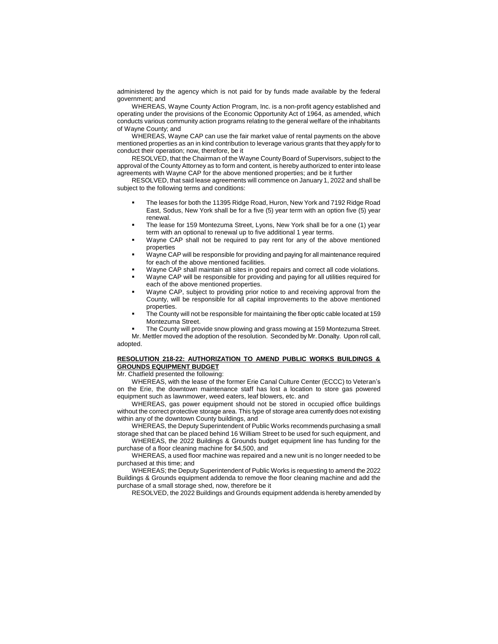administered by the agency which is not paid for by funds made available by the federal government; and

WHEREAS, Wayne County Action Program, Inc. is a non-profit agency established and operating under the provisions of the Economic Opportunity Act of 1964, as amended, which conducts various community action programs relating to the general welfare of the inhabitants of Wayne County; and

WHEREAS, Wayne CAP can use the fair market value of rental payments on the above mentioned properties as an in kind contribution to leverage various grants that they apply for to conduct their operation; now, therefore, be it

RESOLVED, that the Chairman of the Wayne County Board of Supervisors, subject to the approval of the County Attorney as to form and content, is hereby authorized to enter into lease agreements with Wayne CAP for the above mentioned properties; and be it further

RESOLVED, that said lease agreements will commence on January 1, 2022 and shall be subject to the following terms and conditions:

- The leases for both the 11395 Ridge Road, Huron, New York and 7192 Ridge Road East, Sodus, New York shall be for a five (5) year term with an option five (5) year renewal.
- The lease for 159 Montezuma Street, Lyons, New York shall be for a one (1) year term with an optional to renewal up to five additional 1 year terms.
- Wayne CAP shall not be required to pay rent for any of the above mentioned properties
- Wayne CAP will be responsible for providing and paying for all maintenance required for each of the above mentioned facilities.
- Wayne CAP shall maintain all sites in good repairs and correct all code violations.
- Wayne CAP will be responsible for providing and paying for all utilities required for each of the above mentioned properties.
- Wayne CAP, subject to providing prior notice to and receiving approval from the County, will be responsible for all capital improvements to the above mentioned properties.
- The County will not be responsible for maintaining the fiber optic cable located at 159 Montezuma Street.
- The County will provide snow plowing and grass mowing at 159 Montezuma Street.

Mr. Mettler moved the adoption of the resolution. Seconded by Mr. Donalty. Upon roll call, adopted.

# **RESOLUTION 218-22: AUTHORIZATION TO AMEND PUBLIC WORKS BUILDINGS & GROUNDS EQUIPMENT BUDGET**

Mr. Chatfield presented the following:

WHEREAS, with the lease of the former Erie Canal Culture Center (ECCC) to Veteran's on the Erie, the downtown maintenance staff has lost a location to store gas powered equipment such as lawnmower, weed eaters, leaf blowers, etc. and

WHEREAS, gas power equipment should not be stored in occupied office buildings without the correct protective storage area. This type of storage area currently does not existing within any of the downtown County buildings, and

WHEREAS, the Deputy Superintendent of Public Works recommends purchasing a small storage shed that can be placed behind 16 William Street to be used for such equipment, and

WHEREAS, the 2022 Buildings & Grounds budget equipment line has funding for the purchase of a floor cleaning machine for \$4,500, and

WHEREAS, a used floor machine was repaired and a new unit is no longer needed to be purchased at this time; and

WHEREAS; the Deputy Superintendent of Public Works is requesting to amend the 2022 Buildings & Grounds equipment addenda to remove the floor cleaning machine and add the purchase of a small storage shed, now, therefore be it

RESOLVED, the 2022 Buildings and Grounds equipment addenda is hereby amended by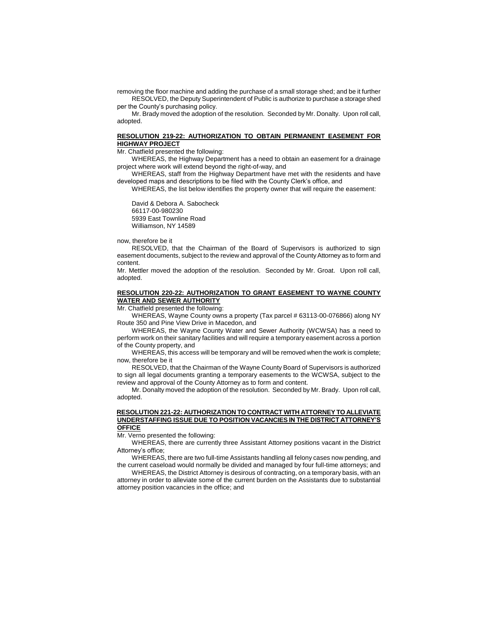removing the floor machine and adding the purchase of a small storage shed; and be it further RESOLVED, the Deputy Superintendent of Public is authorize to purchase a storage shed per the County's purchasing policy.

Mr. Brady moved the adoption of the resolution. Seconded by Mr. Donalty. Upon roll call, adopted.

## **RESOLUTION 219-22: AUTHORIZATION TO OBTAIN PERMANENT EASEMENT FOR HIGHWAY PROJECT**

Mr. Chatfield presented the following:

WHEREAS, the Highway Department has a need to obtain an easement for a drainage project where work will extend beyond the right-of-way, and

WHEREAS, staff from the Highway Department have met with the residents and have developed maps and descriptions to be filed with the County Clerk's office, and

WHEREAS, the list below identifies the property owner that will require the easement:

David & Debora A. Sabocheck 66117-00-980230 5939 East Townline Road Williamson, NY 14589

now, therefore be it

RESOLVED, that the Chairman of the Board of Supervisors is authorized to sign easement documents, subject to the review and approval of the County Attorney as to form and content.

Mr. Mettler moved the adoption of the resolution. Seconded by Mr. Groat. Upon roll call, adopted.

# **RESOLUTION 220-22: AUTHORIZATION TO GRANT EASEMENT TO WAYNE COUNTY WATER AND SEWER AUTHORITY**

Mr. Chatfield presented the following:

WHEREAS, Wayne County owns a property (Tax parcel # 63113-00-076866) along NY Route 350 and Pine View Drive in Macedon, and

WHEREAS, the Wayne County Water and Sewer Authority (WCWSA) has a need to perform work on their sanitary facilities and will require a temporary easement across a portion of the County property, and

WHEREAS, this access will be temporary and will be removed when the work is complete; now, therefore be it

RESOLVED, that the Chairman of the Wayne County Board of Supervisors is authorized to sign all legal documents granting a temporary easements to the WCWSA, subject to the review and approval of the County Attorney as to form and content.

Mr. Donalty moved the adoption of the resolution. Seconded by Mr. Brady. Upon roll call, adopted.

#### **RESOLUTION 221-22: AUTHORIZATION TO CONTRACT WITH ATTORNEY TO ALLEVIATE UNDERSTAFFING ISSUE DUE TO POSITION VACANCIES IN THE DISTRICT ATTORNEY'S OFFICE**

Mr. Verno presented the following:

WHEREAS, there are currently three Assistant Attorney positions vacant in the District Attorney's office;

WHEREAS, there are two full-time Assistants handling all felony cases now pending, and the current caseload would normally be divided and managed by four full-time attorneys; and

WHEREAS, the District Attorney is desirous of contracting, on a temporary basis, with an attorney in order to alleviate some of the current burden on the Assistants due to substantial attorney position vacancies in the office; and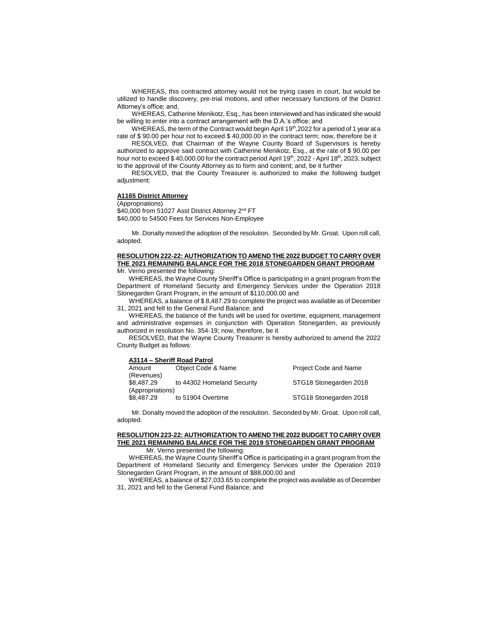WHEREAS, this contracted attorney would not be trying cases in court, but would be utilized to handle discovery, pre-trial motions, and other necessary functions of the District Attorney's office; and,

WHEREAS, Catherine Menikotz, Esq., has been interviewed and has indicated she would be willing to enter into a contract arrangement with the D.A.'s office; and

WHEREAS, the term of the Contract would begin April 19<sup>th</sup>,2022 for a period of 1 year at a rate of \$ 90.00 per hour not to exceed \$ 40,000.00 in the contract term; now, therefore be it

RESOLVED, that Chairman of the Wayne County Board of Supervisors is hereby authorized to approve said contract with Catherine Menikotz, Esq., at the rate of \$ 90.00 per hour not to exceed \$ 40,000.00 for the contract period April 19<sup>th</sup>, 2022 - April 18<sup>th</sup>, 2023, subject to the approval of the County Attorney as to form and content; and, be it further

RESOLVED, that the County Treasurer is authorized to make the following budget adiustment:

# **A1165 District Attorney**

(Appropriations)

\$40,000 from 51027 Asst District Attorney 2<sup>nd</sup> FT \$40,000 to 54500 Fees for Services Non-Employee

Mr. Donalty moved the adoption of the resolution. Seconded by Mr. Groat. Upon roll call, adopted.

#### **RESOLUTION 222-22: AUTHORIZATION TO AMEND THE 2022 BUDGET TO CARRY OVER THE 2021 REMAINING BALANCE FOR THE 2018 STONEGARDEN GRANT PROGRAM**  Mr. Verno presented the following:

WHEREAS, the Wayne County Sheriff's Office is participating in a grant program from the Department of Homeland Security and Emergency Services under the Operation 2018 Stonegarden Grant Program, in the amount of \$110,000.00 and

WHEREAS, a balance of \$ 8,487.29 to complete the project was available as of December 31, 2021 and fell to the General Fund Balance; and

WHEREAS, the balance of the funds will be used for overtime, equipment, management and administrative expenses in conjunction with Operation Stonegarden, as previously authorized in resolution No. 354-19; now, therefore, be it

RESOLVED, that the Wayne County Treasurer is hereby authorized to amend the 2022 County Budget as follows:

#### **A3114 – Sheriff Road Patrol**

| Amount           | Object Code & Name         | Project Code and Name  |
|------------------|----------------------------|------------------------|
| (Revenues)       |                            |                        |
| \$8.487.29       | to 44302 Homeland Security | STG18 Stonegarden 2018 |
| (Appropriations) |                            |                        |
| \$8,487.29       | to 51904 Overtime          | STG18 Stonegarden 2018 |

Mr. Donalty moved the adoption of the resolution. Seconded by Mr. Groat. Upon roll call, adopted.

#### **RESOLUTION 223-22: AUTHORIZATION TO AMEND THE 2022 BUDGET TO CARRY OVER THE 2021 REMAINING BALANCE FOR THE 2019 STONEGARDEN GRANT PROGRAM**  Mr. Verno presented the following:

WHEREAS, the Wayne County Sheriff's Office is participating in a grant program from the Department of Homeland Security and Emergency Services under the Operation 2019 Stonegarden Grant Program, in the amount of \$88,000.00 and

WHEREAS, a balance of \$27,033.65 to complete the project was available as of December 31, 2021 and fell to the General Fund Balance; and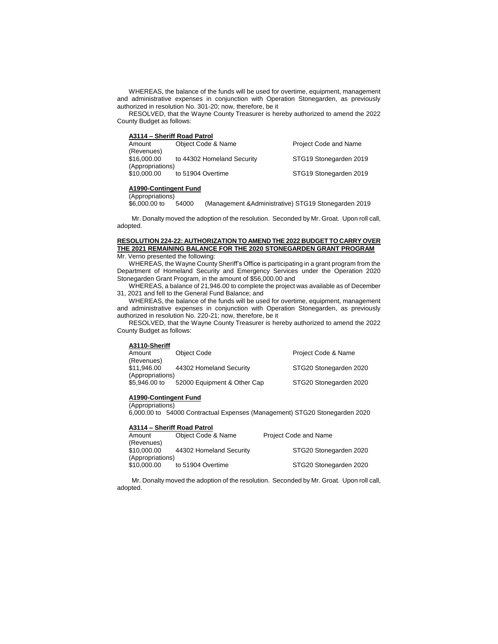WHEREAS, the balance of the funds will be used for overtime, equipment, management and administrative expenses in conjunction with Operation Stonegarden, as previously authorized in resolution No. 301-20; now, therefore, be it

RESOLVED, that the Wayne County Treasurer is hereby authorized to amend the 2022 County Budget as follows:

| A3114 – Sheriff Road Patrol |  |
|-----------------------------|--|
|-----------------------------|--|

| Amount           | Object Code & Name         | <b>Project Code and Name</b> |
|------------------|----------------------------|------------------------------|
| (Revenues)       |                            |                              |
| \$16,000,00      | to 44302 Homeland Security | STG19 Stonegarden 2019       |
| (Appropriations) |                            |                              |
| \$10,000.00      | to 51904 Overtime          | STG19 Stonegarden 2019       |
|                  |                            |                              |

#### **A1990-Contingent Fund**  (Appropriations)

\$6,000.00 to 54000 (Management &Administrative) STG19 Stonegarden 2019

Mr. Donalty moved the adoption of the resolution. Seconded by Mr. Groat. Upon roll call, adopted.

### **RESOLUTION 224-22: AUTHORIZATION TO AMEND THE 2022 BUDGET TO CARRY OVER THE 2021 REMAINING BALANCE FOR THE 2020 STONEGARDEN GRANT PROGRAM**  Mr. Verno presented the following:

WHEREAS, the Wayne County Sheriff's Office is participating in a grant program from the

Department of Homeland Security and Emergency Services under the Operation 2020 Stonegarden Grant Program, in the amount of \$56,000.00 and

WHEREAS, a balance of 21,946.00 to complete the project was available as of December 31, 2021 and fell to the General Fund Balance; and

WHEREAS, the balance of the funds will be used for overtime, equipment, management and administrative expenses in conjunction with Operation Stonegarden, as previously authorized in resolution No. 220-21; now, therefore, be it

RESOLVED, that the Wayne County Treasurer is hereby authorized to amend the 2022 County Budget as follows:

### **A3110-Sheriff**

| Amount           | Object Code                 | Project Code & Name    |
|------------------|-----------------------------|------------------------|
| (Revenues)       |                             |                        |
| \$11.946.00      | 44302 Homeland Security     | STG20 Stonegarden 2020 |
| (Appropriations) |                             |                        |
| \$5,946,00 to    | 52000 Equipment & Other Cap | STG20 Stonegarden 2020 |

# **A1990-Contingent Fund**

(Appropriations)

6,000.00 to 54000 Contractual Expenses (Management) STG20 Stonegarden 2020

#### **A3114 – Sheriff Road Patrol**

| Amount           | Object Code & Name      | <b>Project Code and Name</b> |
|------------------|-------------------------|------------------------------|
| (Revenues)       |                         |                              |
| \$10,000.00      | 44302 Homeland Security | STG20 Stonegarden 2020       |
| (Appropriations) |                         |                              |
| \$10,000.00      | to 51904 Overtime       | STG20 Stonegarden 2020       |

Mr. Donalty moved the adoption of the resolution. Seconded by Mr. Groat. Upon roll call, adopted.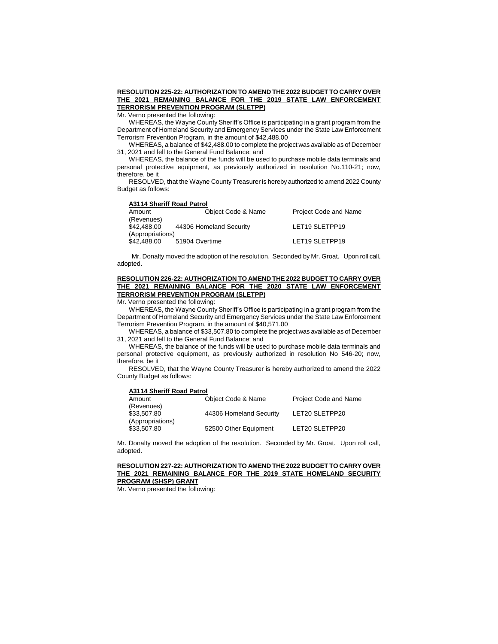# **RESOLUTION 225-22: AUTHORIZATION TO AMEND THE 2022 BUDGET TO CARRY OVER THE 2021 REMAINING BALANCE FOR THE 2019 STATE LAW ENFORCEMENT TERRORISM PREVENTION PROGRAM (SLETPP)**

Mr. Verno presented the following:

WHEREAS, the Wayne County Sheriff's Office is participating in a grant program from the Department of Homeland Security and Emergency Services under the State Law Enforcement Terrorism Prevention Program, in the amount of \$42,488.00

WHEREAS, a balance of \$42,488.00 to complete the project was available as of December 31, 2021 and fell to the General Fund Balance; and

WHEREAS, the balance of the funds will be used to purchase mobile data terminals and personal protective equipment, as previously authorized in resolution No.110-21; now, therefore, be it

RESOLVED, that the Wayne County Treasurer is hereby authorized to amend 2022 County Budget as follows:

#### **A3114 Sheriff Road Patrol**

| Amount           | Object Code & Name      | <b>Project Code and Name</b> |
|------------------|-------------------------|------------------------------|
| (Revenues)       |                         |                              |
| \$42,488,00      | 44306 Homeland Security | LET19 SLETPP19               |
| (Appropriations) |                         |                              |
| \$42,488.00      | 51904 Overtime          | LET19 SLETPP19               |
|                  |                         |                              |

Mr. Donalty moved the adoption of the resolution. Seconded by Mr. Groat. Upon roll call, adopted.

## **RESOLUTION 226-22: AUTHORIZATION TO AMEND THE 2022 BUDGET TO CARRY OVER THE 2021 REMAINING BALANCE FOR THE 2020 STATE LAW ENFORCEMENT TERRORISM PREVENTION PROGRAM (SLETPP)**

Mr. Verno presented the following:

WHEREAS, the Wayne County Sheriff's Office is participating in a grant program from the Department of Homeland Security and Emergency Services under the State Law Enforcement Terrorism Prevention Program, in the amount of \$40,571.00

WHEREAS, a balance of \$33,507.80 to complete the project was available as of December 31, 2021 and fell to the General Fund Balance; and

WHEREAS, the balance of the funds will be used to purchase mobile data terminals and personal protective equipment, as previously authorized in resolution No 546-20; now, therefore, be it

RESOLVED, that the Wayne County Treasurer is hereby authorized to amend the 2022 County Budget as follows:

#### **A3114 Sheriff Road Patrol**

| Amount           | Object Code & Name      | <b>Project Code and Name</b> |
|------------------|-------------------------|------------------------------|
| (Revenues)       |                         |                              |
| \$33,507.80      | 44306 Homeland Security | LET20 SLETPP20               |
| (Appropriations) |                         |                              |
| \$33,507.80      | 52500 Other Equipment   | LET20 SLETPP20               |

Mr. Donalty moved the adoption of the resolution. Seconded by Mr. Groat. Upon roll call, adopted.

### **RESOLUTION 227-22: AUTHORIZATION TO AMEND THE 2022 BUDGET TO CARRY OVER THE 2021 REMAINING BALANCE FOR THE 2019 STATE HOMELAND SECURITY PROGRAM (SHSP) GRANT**

Mr. Verno presented the following: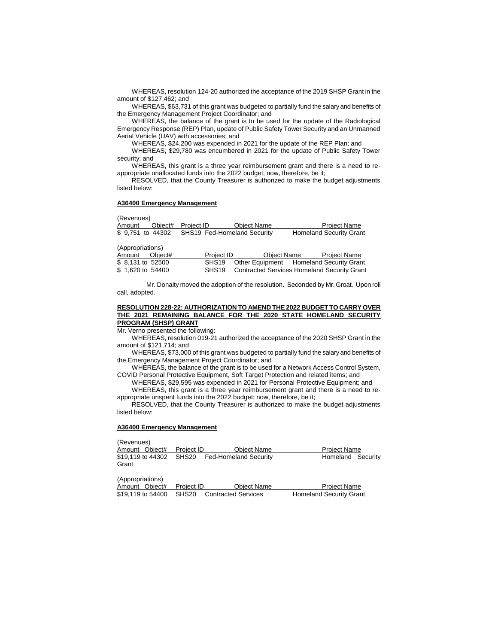WHEREAS, resolution 124-20 authorized the acceptance of the 2019 SHSP Grant in the amount of \$127,462; and

WHEREAS, \$63,731 of this grant was budgeted to partially fund the salary and benefits of the Emergency Management Project Coordinator; and

WHEREAS, the balance of the grant is to be used for the update of the Radiological Emergency Response (REP) Plan, update of Public Safety Tower Security and an Unmanned Aerial Vehicle (UAV) with accessories; and

WHEREAS, \$24,200 was expended in 2021 for the update of the REP Plan; and

WHEREAS, \$29,780 was encumbered in 2021 for the update of Public Safety Tower security; and

WHEREAS, this grant is a three year reimbursement grant and there is a need to reappropriate unallocated funds into the 2022 budget; now, therefore, be it;

RESOLVED, that the County Treasurer is authorized to make the budget adjustments listed below:

#### **A36400 Emergency Management**

(Revenues) Amount Object# Project ID Object Name Project Name \$ 9,751 to 44302 SHS19 Fed-Homeland Security Homeland Security Grant (Appropriations) Amount Object# Project ID Object Name Project Name<br>\$ 8.131 to 52500 SHS19 Other Equipment Homeland Security Gran **Homeland Security Grant** \$ 1,620 to 54400 SHS19 Contracted Services Homeland Security Grant

Mr. Donalty moved the adoption of the resolution. Seconded by Mr. Groat. Upon roll call, adopted.

## **RESOLUTION 228-22: AUTHORIZATION TO AMEND THE 2022 BUDGET TO CARRY OVER THE 2021 REMAINING BALANCE FOR THE 2020 STATE HOMELAND SECURITY PROGRAM (SHSP) GRANT**

Mr. Verno presented the following:

WHEREAS, resolution 019-21 authorized the acceptance of the 2020 SHSP Grant in the amount of \$121,714; and

WHEREAS, \$73,000 of this grant was budgeted to partially fund the salary and benefits of the Emergency Management Project Coordinator; and

WHEREAS, the balance of the grant is to be used for a Network Access Control System, COVID Personal Protective Equipment, Soft Target Protection and related items; and

WHEREAS, \$29,595 was expended in 2021 for Personal Protective Equipment; and WHEREAS, this grant is a three year reimbursement grant and there is a need to reappropriate unspent funds into the 2022 budget; now, therefore, be it;

RESOLVED, that the County Treasurer is authorized to make the budget adjustments listed below:

## **A36400 Emergency Management**

(Revenues)

| 1.11  |                |            |                                               |                     |  |
|-------|----------------|------------|-----------------------------------------------|---------------------|--|
|       | Amount Object# | Project ID | Obiect Name                                   | <b>Project Name</b> |  |
| Grant |                |            | \$19,119 to 44302 SHS20 Fed-Homeland Security | Homeland Security   |  |

(Appropriations)

Amount Object# Project ID Object Name Project Name \$19,119 to 54400 SHS20 Contracted Services Homeland Security Grant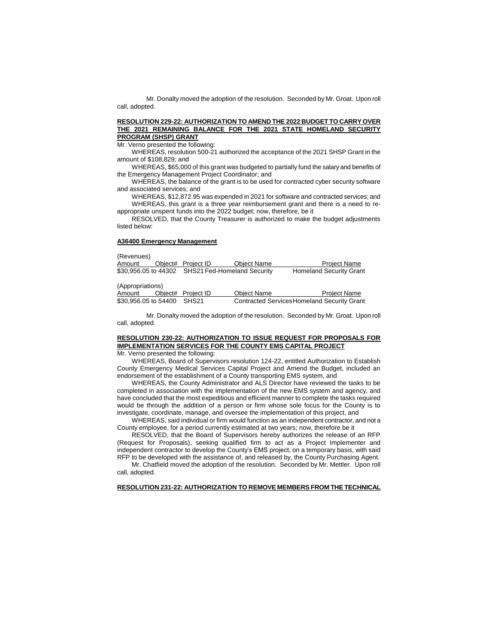Mr. Donalty moved the adoption of the resolution. Seconded by Mr. Groat. Upon roll call, adopted.

# **RESOLUTION 229-22: AUTHORIZATION TO AMEND THE 2022 BUDGET TO CARRY OVER THE 2021 REMAINING BALANCE FOR THE 2021 STATE HOMELAND SECURITY PROGRAM (SHSP) GRANT**

Mr. Verno presented the following:

WHEREAS, resolution 500-21 authorized the acceptance of the 2021 SHSP Grant in the amount of \$108,829; and

WHEREAS, \$65,000 of this grant was budgeted to partially fund the salary and benefits of the Emergency Management Project Coordinator; and

WHEREAS, the balance of the grant is to be used for contracted cyber security software and associated services; and

WHEREAS, \$12,872.95 was expended in 2021 for software and contracted services; and WHEREAS, this grant is a three year reimbursement grant and there is a need to reappropriate unspent funds into the 2022 budget; now, therefore, be it

RESOLVED, that the County Treasurer is authorized to make the budget adjustments listed below:

# **A36400 Emergency Management**

(Revenues)

| Amount           | Object# Project ID | <b>Object Name</b>                               | <b>Project Name</b>            |
|------------------|--------------------|--------------------------------------------------|--------------------------------|
|                  |                    | \$30,956.05 to 44302 SHS21 Fed-Homeland Security | <b>Homeland Security Grant</b> |
| (Appropriations) |                    |                                                  |                                |
| Amount           | Object# Project ID | <b>Object Name</b>                               | <b>Project Name</b>            |
| $\cdots$         |                    | - - - - -                                        | $\sim$ $\sim$                  |

\$30,956.05 to 54400 SHS21 Contracted ServicesHomeland Security Grant

Mr. Donalty moved the adoption of the resolution. Seconded by Mr. Groat. Upon roll call, adopted.

# **RESOLUTION 230-22: AUTHORIZATION TO ISSUE REQUEST FOR PROPOSALS FOR IMPLEMENTATION SERVICES FOR THE COUNTY EMS CAPITAL PROJECT**

# Mr. Verno presented the following:

WHEREAS, Board of Supervisors resolution 124-22, entitled Authorization to Establish County Emergency Medical Services Capital Project and Amend the Budget, included an endorsement of the establishment of a County transporting EMS system, and

WHEREAS, the County Administrator and ALS Director have reviewed the tasks to be completed in association with the implementation of the new EMS system and agency, and have concluded that the most expeditious and efficient manner to complete the tasks required would be through the addition of a person or firm whose sole focus for the County is to investigate, coordinate, manage, and oversee the implementation of this project, and

WHEREAS, said individual or firm would function as an independent contractor, and not a County employee, for a period currently estimated at two years; now, therefore be it

RESOLVED, that the Board of Supervisors hereby authorizes the release of an RFP (Request for Proposals), seeking qualified firm to act as a Project Implementer and independent contractor to develop the County's EMS project, on a temporary basis, with said RFP to be developed with the assistance of, and released by, the County Purchasing Agent.

Mr. Chatfield moved the adoption of the resolution. Seconded by Mr. Mettler. Upon roll call, adopted.

#### **RESOLUTION 231-22: AUTHORIZATION TO REMOVE MEMBERS FROM THE TECHNICAL**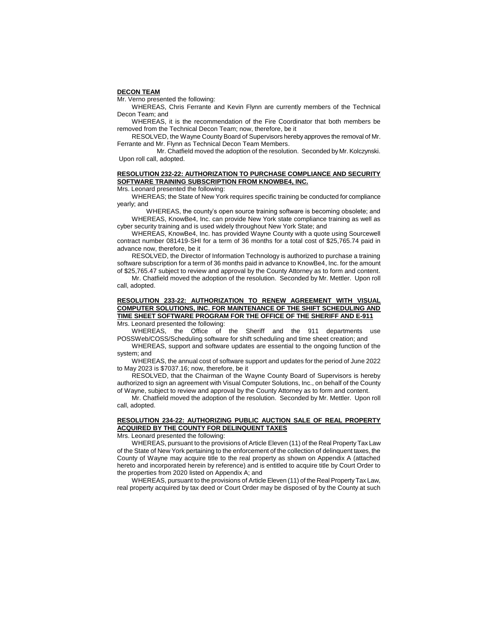#### **DECON TEAM**

Mr. Verno presented the following:

WHEREAS, Chris Ferrante and Kevin Flynn are currently members of the Technical Decon Team; and

WHEREAS, it is the recommendation of the Fire Coordinator that both members be removed from the Technical Decon Team; now, therefore, be it

RESOLVED, the Wayne County Board of Supervisors hereby approves the removal of Mr. Ferrante and Mr. Flynn as Technical Decon Team Members.

 Mr. Chatfield moved the adoption of the resolution. Seconded by Mr. Kolczynski. Upon roll call, adopted.

## **RESOLUTION 232-22: AUTHORIZATION TO PURCHASE COMPLIANCE AND SECURITY SOFTWARE TRAINING SUBSCRIPTION FROM KNOWBE4, INC.**

Mrs. Leonard presented the following:

WHEREAS; the State of New York requires specific training be conducted for compliance yearly; and

WHEREAS, the county's open source training software is becoming obsolete; and WHEREAS, KnowBe4, Inc. can provide New York state compliance training as well as cyber security training and is used widely throughout New York State; and

WHEREAS, KnowBe4, Inc. has provided Wayne County with a quote using Sourcewell contract number 081419-SHI for a term of 36 months for a total cost of \$25,765.74 paid in advance now, therefore, be it

RESOLVED, the Director of Information Technology is authorized to purchase a training software subscription for a term of 36 months paid in advance to KnowBe4, Inc. for the amount of \$25,765.47 subject to review and approval by the County Attorney as to form and content.

Mr. Chatfield moved the adoption of the resolution. Seconded by Mr. Mettler. Upon roll call, adopted.

#### **RESOLUTION 233-22: AUTHORIZATION TO RENEW AGREEMENT WITH VISUAL COMPUTER SOLUTIONS, INC. FOR MAINTENANCE OF THE SHIFT SCHEDULING AND TIME SHEET SOFTWARE PROGRAM FOR THE OFFICE OF THE SHERIFF AND E-911** Mrs. Leonard presented the following:

WHEREAS, the Office of the Sheriff and the 911 departments use POSSWeb/COSS/Scheduling software for shift scheduling and time sheet creation; and

WHEREAS, support and software updates are essential to the ongoing function of the system; and

WHEREAS, the annual cost of software support and updates for the period of June 2022 to May 2023 is \$7037.16; now, therefore, be it

RESOLVED, that the Chairman of the Wayne County Board of Supervisors is hereby authorized to sign an agreement with Visual Computer Solutions, Inc., on behalf of the County of Wayne, subject to review and approval by the County Attorney as to form and content.

Mr. Chatfield moved the adoption of the resolution. Seconded by Mr. Mettler. Upon roll call, adopted.

# **RESOLUTION 234-22: AUTHORIZING PUBLIC AUCTION SALE OF REAL PROPERTY ACQUIRED BY THE COUNTY FOR DELINQUENT TAXES**

Mrs. Leonard presented the following:

WHEREAS, pursuant to the provisions of Article Eleven (11) of the Real Property Tax Law of the State of New York pertaining to the enforcement of the collection of delinquent taxes, the County of Wayne may acquire title to the real property as shown on Appendix A (attached hereto and incorporated herein by reference) and is entitled to acquire title by Court Order to the properties from 2020 listed on Appendix A; and

WHEREAS, pursuant to the provisions of Article Eleven (11) of the Real Property Tax Law, real property acquired by tax deed or Court Order may be disposed of by the County at such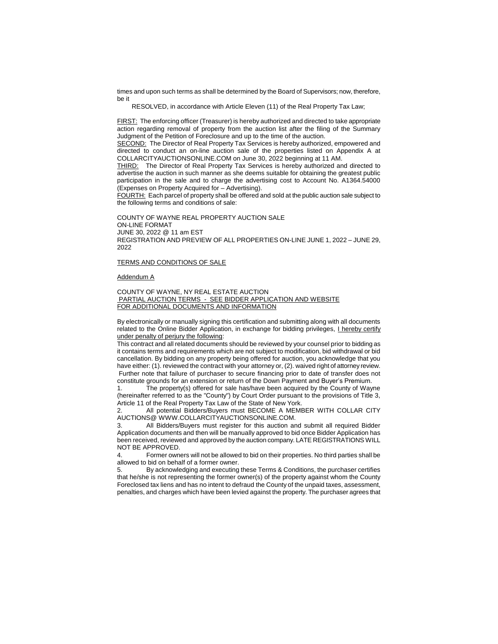times and upon such terms as shall be determined by the Board of Supervisors; now, therefore, be it

RESOLVED, in accordance with Article Eleven (11) of the Real Property Tax Law;

FIRST: The enforcing officer (Treasurer) is hereby authorized and directed to take appropriate action regarding removal of property from the auction list after the filing of the Summary Judgment of the Petition of Foreclosure and up to the time of the auction.

SECOND: The Director of Real Property Tax Services is hereby authorized, empowered and directed to conduct an on-line auction sale of the properties listed on Appendix A at COLLARCITYAUCTIONSONLINE.COM on June 30, 2022 beginning at 11 AM.

THIRD: The Director of Real Property Tax Services is hereby authorized and directed to advertise the auction in such manner as she deems suitable for obtaining the greatest public participation in the sale and to charge the advertising cost to Account No. A1364.54000 (Expenses on Property Acquired for – Advertising).

FOURTH: Each parcel of property shall be offered and sold at the public auction sale subject to the following terms and conditions of sale:

COUNTY OF WAYNE REAL PROPERTY AUCTION SALE ON-LINE FORMAT JUNE 30, 2022 @ 11 am EST REGISTRATION AND PREVIEW OF ALL PROPERTIES ON-LINE JUNE 1, 2022 – JUNE 29, 2022

#### TERMS AND CONDITIONS OF SALE

#### Addendum A

COUNTY OF WAYNE, NY REAL ESTATE AUCTION PARTIAL AUCTION TERMS - SEE BIDDER APPLICATION AND WEBSITE FOR ADDITIONAL DOCUMENTS AND INFORMATION

By electronically or manually signing this certification and submitting along with all documents related to the Online Bidder Application, in exchange for bidding privileges, I hereby certify under penalty of perjury the following:

This contract and all related documents should be reviewed by your counsel prior to bidding as it contains terms and requirements which are not subject to modification, bid withdrawal or bid cancellation. By bidding on any property being offered for auction, you acknowledge that you have either: (1). reviewed the contract with your attorney or, (2). waived right of attorney review. Further note that failure of purchaser to secure financing prior to date of transfer does not constitute grounds for an extension or return of the Down Payment and Buyer's Premium.

1. The property(s) offered for sale has/have been acquired by the County of Wayne (hereinafter referred to as the "County") by Court Order pursuant to the provisions of Title 3, Article 11 of the Real Property Tax Law of the State of New York.

2. All potential Bidders/Buyers must BECOME A MEMBER WITH COLLAR CITY AUCTIONS@ WWW.COLLARCITYAUCTIONSONLINE.COM.

3. All Bidders/Buyers must register for this auction and submit all required Bidder Application documents and then will be manually approved to bid once Bidder Application has been received, reviewed and approved by the auction company. LATE REGISTRATIONS WILL NOT BE APPROVED.

4. Former owners will not be allowed to bid on their properties. No third parties shall be allowed to bid on behalf of a former owner.

5. By acknowledging and executing these Terms & Conditions, the purchaser certifies that he/she is not representing the former owner(s) of the property against whom the County Foreclosed tax liens and has no intent to defraud the County of the unpaid taxes, assessment, penalties, and charges which have been levied against the property. The purchaser agrees that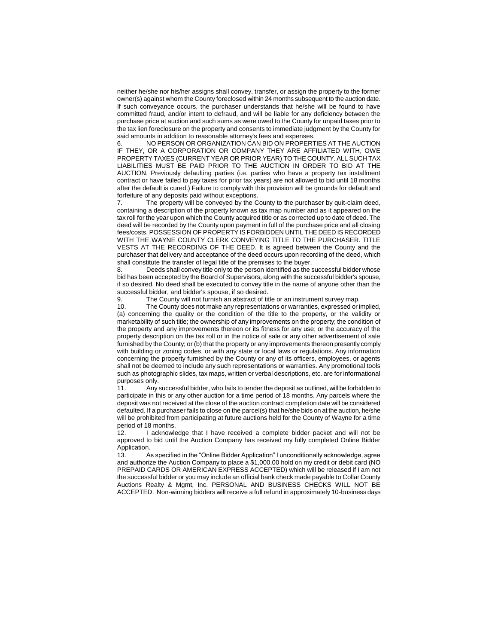neither he/she nor his/her assigns shall convey, transfer, or assign the property to the former owner(s) against whom the County foreclosed within 24 months subsequent to the auction date. If such conveyance occurs, the purchaser understands that he/she will be found to have committed fraud, and/or intent to defraud, and will be liable for any deficiency between the purchase price at auction and such sums as were owed to the County for unpaid taxes prior to the tax lien foreclosure on the property and consents to immediate judgment by the County for said amounts in addition to reasonable attorney's fees and expenses.

6. NO PERSON OR ORGANIZATION CAN BID ON PROPERTIES AT THE AUCTION IF THEY, OR A CORPORATION OR COMPANY THEY ARE AFFILIATED WITH, OWE PROPERTY TAXES (CURRENT YEAR OR PRIOR YEAR) TO THE COUNTY. ALL SUCH TAX LIABILITIES MUST BE PAID PRIOR TO THE AUCTION IN ORDER TO BID AT THE AUCTION. Previously defaulting parties (i.e. parties who have a property tax installment contract or have failed to pay taxes for prior tax years) are not allowed to bid until 18 months after the default is cured.) Failure to comply with this provision will be grounds for default and forfeiture of any deposits paid without exceptions.

7. The property will be conveyed by the County to the purchaser by quit-claim deed, containing a description of the property known as tax map number and as it appeared on the tax roll for the year upon which the County acquired title or as corrected up to date of deed. The deed will be recorded by the County upon payment in full of the purchase price and all closing fees/costs. POSSESSION OF PROPERTY IS FORBIDDEN UNTIL THE DEED IS RECORDED WITH THE WAYNE COUNTY CLERK CONVEYING TITLE TO THE PURCHASER. TITLE VESTS AT THE RECORDING OF THE DEED. It is agreed between the County and the purchaser that delivery and acceptance of the deed occurs upon recording of the deed, which shall constitute the transfer of legal title of the premises to the buyer.

8. Deeds shall convey title only to the person identified as the successful bidder whose bid has been accepted by the Board of Supervisors, along with the successful bidder's spouse, if so desired. No deed shall be executed to convey title in the name of anyone other than the successful bidder, and bidder's spouse, if so desired.

9. The County will not furnish an abstract of title or an instrument survey map.

10. The County does not make any representations or warranties, expressed or implied, (a) concerning the quality or the condition of the title to the property, or the validity or marketability of such title; the ownership of any improvements on the property; the condition of the property and any improvements thereon or its fitness for any use; or the accuracy of the property description on the tax roll or in the notice of sale or any other advertisement of sale furnished by the County; or (b) that the property or any improvements thereon presently comply with building or zoning codes, or with any state or local laws or regulations. Any information concerning the property furnished by the County or any of its officers, employees, or agents shall not be deemed to include any such representations or warranties. Any promotional tools such as photographic slides, tax maps, written or verbal descriptions, etc. are for informational purposes only.

11. Any successful bidder, who fails to tender the deposit as outlined, will be forbidden to participate in this or any other auction for a time period of 18 months. Any parcels where the deposit was not received at the close of the auction contract completion date will be considered defaulted. If a purchaser fails to close on the parcel(s) that he/she bids on at the auction, he/she will be prohibited from participating at future auctions held for the County of Wayne for a time period of 18 months.

12. I acknowledge that I have received a complete bidder packet and will not be approved to bid until the Auction Company has received my fully completed Online Bidder Application.

13. As specified in the "Online Bidder Application" I unconditionally acknowledge, agree and authorize the Auction Company to place a \$1,000.00 hold on my credit or debit card (NO PREPAID CARDS OR AMERICAN EXPRESS ACCEPTED) which will be released if I am not the successful bidder or you may include an official bank check made payable to Collar County Auctions Realty & Mgmt, Inc. PERSONAL AND BUSINESS CHECKS WILL NOT BE ACCEPTED. Non-winning bidders will receive a full refund in approximately 10-business days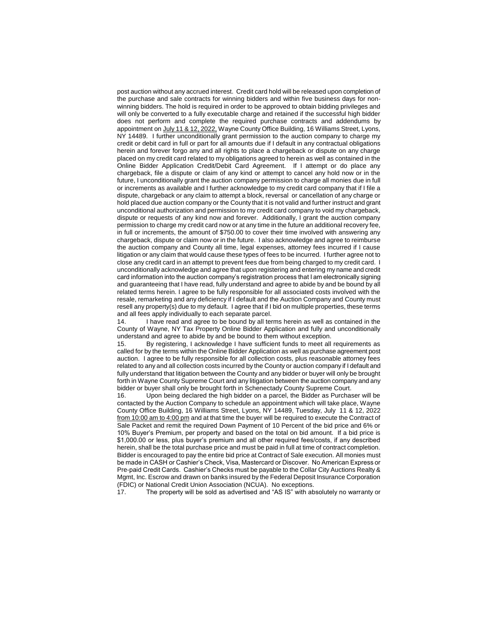post auction without any accrued interest. Credit card hold will be released upon completion of the purchase and sale contracts for winning bidders and within five business days for nonwinning bidders. The hold is required in order to be approved to obtain bidding privileges and will only be converted to a fully executable charge and retained if the successful high bidder does not perform and complete the required purchase contracts and addendums by appointment on July 11 & 12, 2022, Wayne County Office Building, 16 Williams Street, Lyons, NY 14489. I further unconditionally grant permission to the auction company to charge my credit or debit card in full or part for all amounts due if I default in any contractual obligations herein and forever forgo any and all rights to place a chargeback or dispute on any charge placed on my credit card related to my obligations agreed to herein as well as contained in the Online Bidder Application Credit/Debit Card Agreement. If I attempt or do place any chargeback, file a dispute or claim of any kind or attempt to cancel any hold now or in the future, I unconditionally grant the auction company permission to charge all monies due in full or increments as available and I further acknowledge to my credit card company that if I file a dispute, chargeback or any claim to attempt a block, reversal or cancellation of any charge or hold placed due auction company or the County that it is not valid and further instruct and grant unconditional authorization and permission to my credit card company to void my chargeback, dispute or requests of any kind now and forever. Additionally, I grant the auction company permission to charge my credit card now or at any time in the future an additional recovery fee, in full or increments, the amount of \$750.00 to cover their time involved with answering any chargeback, dispute or claim now or in the future. I also acknowledge and agree to reimburse the auction company and County all time, legal expenses, attorney fees incurred if I cause litigation or any claim that would cause these types of fees to be incurred. I further agree not to close any credit card in an attempt to prevent fees due from being charged to my credit card. I unconditionally acknowledge and agree that upon registering and entering my name and credit card information into the auction company's registration process that I am electronically signing and guaranteeing that I have read, fully understand and agree to abide by and be bound by all related terms herein. I agree to be fully responsible for all associated costs involved with the resale, remarketing and any deficiency if I default and the Auction Company and County must resell any property(s) due to my default. I agree that if I bid on multiple properties, these terms and all fees apply individually to each separate parcel.

14. I have read and agree to be bound by all terms herein as well as contained in the County of Wayne, NY Tax Property Online Bidder Application and fully and unconditionally understand and agree to abide by and be bound to them without exception.

15. By registering, I acknowledge I have sufficient funds to meet all requirements as called for by the terms within the Online Bidder Application as well as purchase agreement post auction. I agree to be fully responsible for all collection costs, plus reasonable attorney fees related to any and all collection costs incurred by the County or auction company if I default and fully understand that litigation between the County and any bidder or buyer will only be brought forth in Wayne County Supreme Court and any litigation between the auction company and any bidder or buyer shall only be brought forth in Schenectady County Supreme Court.

16. Upon being declared the high bidder on a parcel, the Bidder as Purchaser will be contacted by the Auction Company to schedule an appointment which will take place, Wayne County Office Building, 16 Williams Street, Lyons, NY 14489, Tuesday, July 11 & 12, 2022 from 10:00 am to 4:00 pm and at that time the buyer will be required to execute the Contract of Sale Packet and remit the required Down Payment of 10 Percent of the bid price and 6% or 10% Buyer's Premium, per property and based on the total on bid amount. If a bid price is \$1,000.00 or less, plus buyer's premium and all other required fees/costs, if any described herein, shall be the total purchase price and must be paid in full at time of contract completion. Bidder is encouraged to pay the entire bid price at Contract of Sale execution. All monies must be made in CASH or Cashier's Check, Visa, Mastercard or Discover. No American Express or Pre-paid Credit Cards. Cashier's Checks must be payable to the Collar City Auctions Realty & Mgmt, Inc. Escrow and drawn on banks insured by the Federal Deposit Insurance Corporation (FDIC) or National Credit Union Association (NCUA). No exceptions.

17. The property will be sold as advertised and "AS IS" with absolutely no warranty or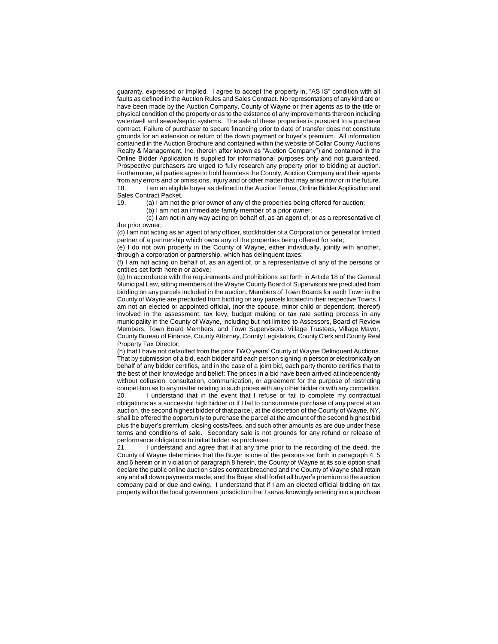guaranty, expressed or implied. I agree to accept the property in, "AS IS" condition with all faults as defined in the Auction Rules and Sales Contract. No representations of any kind are or have been made by the Auction Company, County of Wayne or their agents as to the title or physical condition of the property or as to the existence of any improvements thereon including water/well and sewer/septic systems. The sale of these properties is pursuant to a purchase contract. Failure of purchaser to secure financing prior to date of transfer does not constitute grounds for an extension or return of the down payment or buyer's premium. All information contained in the Auction Brochure and contained within the website of Collar County Auctions Realty & Management, Inc. (herein after known as "Auction Company") and contained in the Online Bidder Application is supplied for informational purposes only and not guaranteed. Prospective purchasers are urged to fully research any property prior to bidding at auction. Furthermore, all parties agree to hold harmless the County, Auction Company and their agents from any errors and or omissions, injury and or other matter that may arise now or in the future. 18. I am an eligible buyer as defined in the Auction Terms, Online Bidder Application and Sales Contract Packet.<br>19 (a) Lam not t

(a) I am not the prior owner of any of the properties being offered for auction;

(b) I am not an immediate family member of a prior owner:

(c) I am not in any way acting on behalf of, as an agent of, or as a representative of the prior owner;

(d) I am not acting as an agent of any officer, stockholder of a Corporation or general or limited partner of a partnership which owns any of the properties being offered for sale;

(e) I do not own property in the County of Wayne, either individually, jointly with another, through a corporation or partnership, which has delinquent taxes;

(f) I am not acting on behalf of, as an agent of, or a representative of any of the persons or entities set forth herein or above;

(g) In accordance with the requirements and prohibitions set forth in Article 18 of the General Municipal Law, sitting members of the Wayne County Board of Supervisors are precluded from bidding on any parcels included in the auction. Members of Town Boards for each Town in the County of Wayne are precluded from bidding on any parcels located in their respective Towns. I am not an elected or appointed official, (nor the spouse, minor child or dependent, thereof) involved in the assessment, tax levy, budget making or tax rate setting process in any municipality in the County of Wayne, including but not limited to Assessors, Board of Review Members, Town Board Members, and Town Supervisors. Village Trustees, Village Mayor, County Bureau of Finance, County Attorney, County Legislators, County Clerk and County Real Property Tax Director;

(h) that I have not defaulted from the prior TWO years' County of Wayne Delinquent Auctions. That by submission of a bid, each bidder and each person signing in person or electronically on behalf of any bidder certifies, and in the case of a joint bid, each party thereto certifies that to the best of their knowledge and belief: The prices in a bid have been arrived at independently without collusion, consultation, communication, or agreement for the purpose of restricting competition as to any matter relating to such prices with any other bidder or with any competitor.

20. I understand that in the event that I refuse or fail to complete my contractual obligations as a successful high bidder or if I fail to consummate purchase of any parcel at an auction, the second highest bidder of that parcel, at the discretion of the County of Wayne, NY, shall be offered the opportunity to purchase the parcel at the amount of the second highest bid plus the buyer's premium, closing costs/fees, and such other amounts as are due under these terms and conditions of sale. Secondary sale is not grounds for any refund or release of performance obligations to initial bidder as purchaser.

21. I understand and agree that if at any time prior to the recording of the deed, the County of Wayne determines that the Buyer is one of the persons set forth in paragraph 4, 5 and 6 herein or in violation of paragraph 8 herein, the County of Wayne at its sole option shall declare the public online auction sales contract breached and the County of Wayne shall retain any and all down payments made, and the Buyer shall forfeit all buyer's premium to the auction company paid or due and owing. I understand that if I am an elected official bidding on tax property within the local government jurisdiction that I serve, knowingly entering into a purchase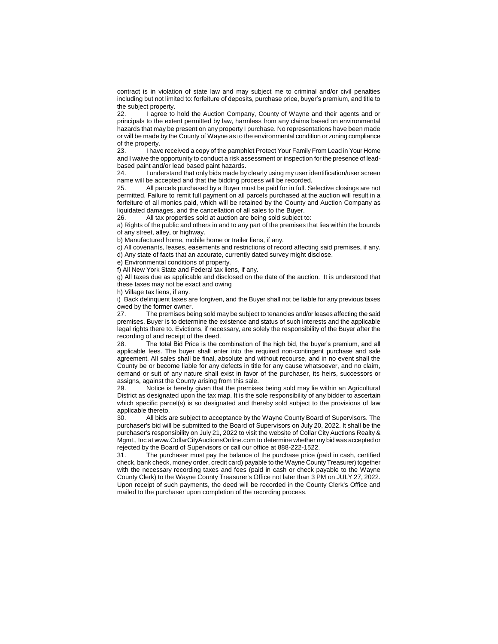contract is in violation of state law and may subject me to criminal and/or civil penalties including but not limited to: forfeiture of deposits, purchase price, buyer's premium, and title to the subject property.

22. I agree to hold the Auction Company, County of Wayne and their agents and or principals to the extent permitted by law, harmless from any claims based on environmental hazards that may be present on any property I purchase. No representations have been made or will be made by the County of Wayne as to the environmental condition or zoning compliance of the property.<br>23. **I** have

I have received a copy of the pamphlet Protect Your Family From Lead in Your Home and I waive the opportunity to conduct a risk assessment or inspection for the presence of leadbased paint and/or lead based paint hazards.

24. I understand that only bids made by clearly using my user identification/user screen name will be accepted and that the bidding process will be recorded.

25. All parcels purchased by a Buyer must be paid for in full. Selective closings are not permitted. Failure to remit full payment on all parcels purchased at the auction will result in a forfeiture of all monies paid, which will be retained by the County and Auction Company as liquidated damages, and the cancellation of all sales to the Buyer.

26. All tax properties sold at auction are being sold subject to:

a) Rights of the public and others in and to any part of the premises that lies within the bounds of any street, alley, or highway.

b) Manufactured home, mobile home or trailer liens, if any.

c) All covenants, leases, easements and restrictions of record affecting said premises, if any. d) Any state of facts that an accurate, currently dated survey might disclose.

e) Environmental conditions of property.

f) All New York State and Federal tax liens, if any.

g) All taxes due as applicable and disclosed on the date of the auction. It is understood that these taxes may not be exact and owing

h) Village tax liens, if any.

i) Back delinquent taxes are forgiven, and the Buyer shall not be liable for any previous taxes owed by the former owner.

27. The premises being sold may be subject to tenancies and/or leases affecting the said premises. Buyer is to determine the existence and status of such interests and the applicable legal rights there to. Evictions, if necessary, are solely the responsibility of the Buyer after the recording of and receipt of the deed.<br>28 The total Bid Price is the c

The total Bid Price is the combination of the high bid, the buyer's premium, and all applicable fees. The buyer shall enter into the required non-contingent purchase and sale agreement. All sales shall be final, absolute and without recourse, and in no event shall the County be or become liable for any defects in title for any cause whatsoever, and no claim, demand or suit of any nature shall exist in favor of the purchaser, its heirs, successors or assigns, against the County arising from this sale.

29. Notice is hereby given that the premises being sold may lie within an Agricultural District as designated upon the tax map. It is the sole responsibility of any bidder to ascertain which specific parcel(s) is so designated and thereby sold subject to the provisions of law applicable thereto.

30. All bids are subject to acceptance by the Wayne County Board of Supervisors. The purchaser's bid will be submitted to the Board of Supervisors on July 20, 2022. It shall be the purchaser's responsibility on July 21, 2022 to visit the website of Collar City Auctions Realty & Mgmt., Inc at www.CollarCityAuctionsOnline.com to determine whether my bid was accepted or rejected by the Board of Supervisors or call our office at 888-222-1522.

31. The purchaser must pay the balance of the purchase price (paid in cash, certified check, bank check, money order, credit card) payable to the Wayne County Treasurer) together with the necessary recording taxes and fees (paid in cash or check payable to the Wayne County Clerk) to the Wayne County Treasurer's Office not later than 3 PM on JULY 27, 2022. Upon receipt of such payments, the deed will be recorded in the County Clerk's Office and mailed to the purchaser upon completion of the recording process.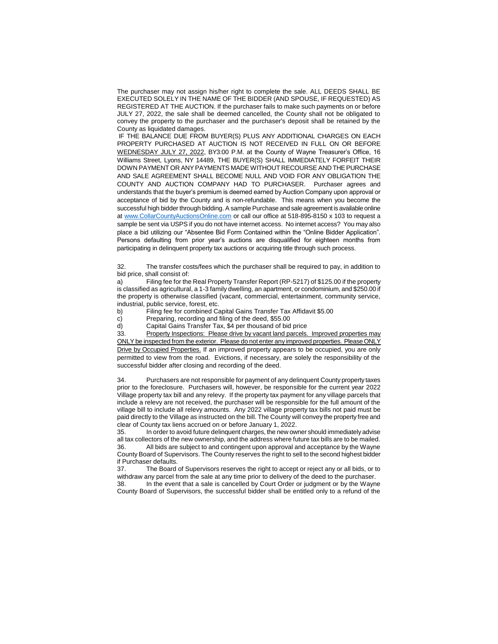The purchaser may not assign his/her right to complete the sale. ALL DEEDS SHALL BE EXECUTED SOLELY IN THE NAME OF THE BIDDER (AND SPOUSE, IF REQUESTED) AS REGISTERED AT THE AUCTION. If the purchaser fails to make such payments on or before JULY 27, 2022, the sale shall be deemed cancelled, the County shall not be obligated to convey the property to the purchaser and the purchaser's deposit shall be retained by the County as liquidated damages.

IF THE BALANCE DUE FROM BUYER(S) PLUS ANY ADDITIONAL CHARGES ON EACH PROPERTY PURCHASED AT AUCTION IS NOT RECEIVED IN FULL ON OR BEFORE WEDNESDAY JULY 27, 2022, BY3:00 P.M. at the County of Wayne Treasurer's Office, 16 Williams Street, Lyons, NY 14489, THE BUYER(S) SHALL IMMEDIATELY FORFEIT THEIR DOWN PAYMENT OR ANY PAYMENTS MADE WITHOUT RECOURSE AND THE PURCHASE AND SALE AGREEMENT SHALL BECOME NULL AND VOID FOR ANY OBLIGATION THE COUNTY AND AUCTION COMPANY HAD TO PURCHASER. Purchaser agrees and understands that the buyer's premium is deemed earned by Auction Company upon approval or acceptance of bid by the County and is non-refundable. This means when you become the successful high bidder through bidding. A sample Purchase and sale agreement is available online at [www.CollarCountyAuctionsOnline.com](http://www.collarcityauctionsonline.com/) or call our office at 518-895-8150 x 103 to request a sample be sent via USPS if you do not have internet access. No internet access? You may also place a bid utilizing our "Absentee Bid Form Contained within the "Online Bidder Application". Persons defaulting from prior year's auctions are disqualified for eighteen months from participating in delinquent property tax auctions or acquiring title through such process.

32. The transfer costs/fees which the purchaser shall be required to pay, in addition to bid price, shall consist of:

a) Filing fee for the Real Property Transfer Report (RP-5217) of \$125.00 if the property is classified as agricultural, a 1-3 family dwelling, an apartment, or condominium, and \$250.00 if the property is otherwise classified (vacant, commercial, entertainment, community service, industrial, public service, forest, etc.

b) Filing fee for combined Capital Gains Transfer Tax Affidavit \$5.00

c) Preparing, recording and filing of the deed, \$55.00<br>d) Capital Gains Transfer Tax, \$4 per thousand of bid

Capital Gains Transfer Tax, \$4 per thousand of bid price

33. Property Inspections: Please drive by vacant land parcels. Improved properties may ONLY be inspected from the exterior. Please do not enter any improved properties. Please ONLY Drive by Occupied Properties. If an improved property appears to be occupied, you are only permitted to view from the road. Evictions, if necessary, are solely the responsibility of the successful bidder after closing and recording of the deed.

34. Purchasers are not responsible for payment of any delinquent County property taxes prior to the foreclosure. Purchasers will, however, be responsible for the current year 2022 Village property tax bill and any relevy. If the property tax payment for any village parcels that include a relevy are not received, the purchaser will be responsible for the full amount of the village bill to include all relevy amounts. Any 2022 village property tax bills not paid must be paid directly to the Village as instructed on the bill. The County will convey the property free and clear of County tax liens accrued on or before January 1, 2022.

35. In order to avoid future delinquent charges, the new owner should immediately advise all tax collectors of the new ownership, and the address where future tax bills are to be mailed.<br>36 All bids are subject to and contingent upon approval and acceptance by the Wayne All bids are subject to and contingent upon approval and acceptance by the Wayne County Board of Supervisors. The County reserves the right to sell to the second highest bidder if Purchaser defaults.

37. The Board of Supervisors reserves the right to accept or reject any or all bids, or to withdraw any parcel from the sale at any time prior to delivery of the deed to the purchaser.

38. In the event that a sale is cancelled by Court Order or judgment or by the Wayne County Board of Supervisors, the successful bidder shall be entitled only to a refund of the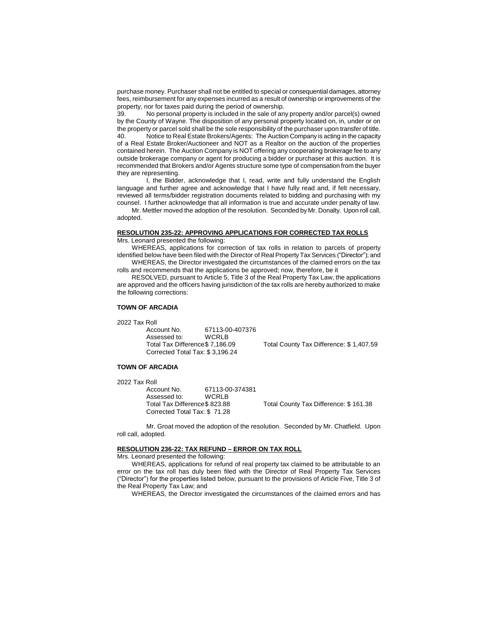purchase money. Purchaser shall not be entitled to special or consequential damages, attorney fees, reimbursement for any expenses incurred as a result of ownership or improvements of the property, nor for taxes paid during the period of ownership.

39. No personal property is included in the sale of any property and/or parcel(s) owned by the County of Wayne. The disposition of any personal property located on, in, under or on the property or parcel sold shall be the sole responsibility of the purchaser upon transfer of title. 40. Notice to Real Estate Brokers/Agents: The Auction Company is acting in the capacity of a Real Estate Broker/Auctioneer and NOT as a Realtor on the auction of the properties contained herein. The Auction Company is NOT offering any cooperating brokerage fee to any outside brokerage company or agent for producing a bidder or purchaser at this auction. It is recommended that Brokers and/or Agents structure some type of compensation from the buyer they are representing.

I, the Bidder, acknowledge that I, read, write and fully understand the English language and further agree and acknowledge that I have fully read and, if felt necessary, reviewed all terms/bidder registration documents related to bidding and purchasing with my counsel. I further acknowledge that all information is true and accurate under penalty of law.

Mr. Mettler moved the adoption of the resolution. Seconded by Mr. Donalty. Upon roll call, adopted.

# **RESOLUTION 235-22: APPROVING APPLICATIONS FOR CORRECTED TAX ROLLS**

Mrs. Leonard presented the following:

WHEREAS, applications for correction of tax rolls in relation to parcels of property identified below have been filed with the Director of Real Property Tax Services ("Director"); and

WHEREAS, the Director investigated the circumstances of the claimed errors on the tax rolls and recommends that the applications be approved; now, therefore, be it

RESOLVED, pursuant to Article 5, Title 3 of the Real Property Tax Law, the applications are approved and the officers having jurisdiction of the tax rolls are hereby authorized to make the following corrections:

# **TOWN OF ARCADIA**

2022 Tax Roll<br>Account No Account No. 67113-00-407376 Assessed to: WCRLB<br>Total Tax Difference\$ 7,186.09 Corrected Total Tax: \$ 3,196.24

Total County Tax Difference: \$ 1,407.59

# **TOWN OF ARCADIA**

2022 Tax Roll 67113-00-374381<br>WCRLB Assessed to: WCRLB<br>Total Tax Difference\$ 823.88 Corrected Total Tax: \$ 71.28

Total County Tax Difference: \$ 161.38

Mr. Groat moved the adoption of the resolution. Seconded by Mr. Chatfield. Upon roll call, adopted.

#### **RESOLUTION 236-22: TAX REFUND – ERROR ON TAX ROLL**

Mrs. Leonard presented the following:

WHEREAS, applications for refund of real property tax claimed to be attributable to an error on the tax roll has duly been filed with the Director of Real Property Tax Services ("Director") for the properties listed below, pursuant to the provisions of Article Five, Title 3 of the Real Property Tax Law; and

WHEREAS, the Director investigated the circumstances of the claimed errors and has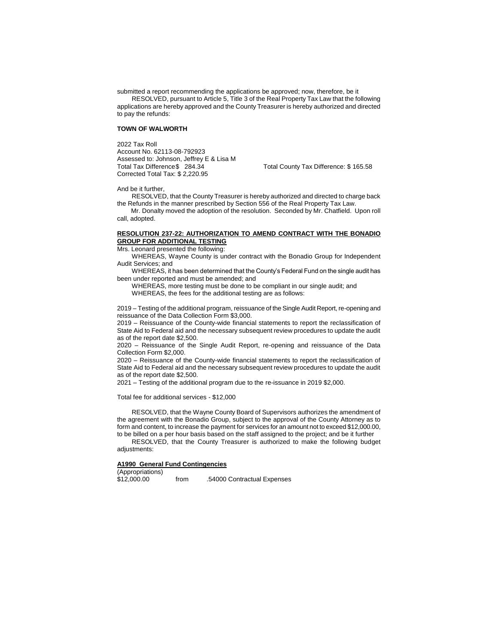submitted a report recommending the applications be approved; now, therefore, be it RESOLVED, pursuant to Article 5, Title 3 of the Real Property Tax Law that the following applications are hereby approved and the County Treasurer is hereby authorized and directed to pay the refunds:

## **TOWN OF WALWORTH**

2022 Tax Roll Account No. 62113-08-792923 Assessed to: Johnson, Jeffrey E & Lisa M Total Tax Difference\$ 284.34 Total County Tax Difference: \$ 165.58 Corrected Total Tax: \$ 2,220.95

And be it further,

RESOLVED, that the County Treasurer is hereby authorized and directed to charge back the Refunds in the manner prescribed by Section 556 of the Real Property Tax Law.

 Mr. Donalty moved the adoption of the resolution. Seconded by Mr. Chatfield. Upon roll call, adopted.

### **RESOLUTION 237-22: AUTHORIZATION TO AMEND CONTRACT WITH THE BONADIO GROUP FOR ADDITIONAL TESTING**

Mrs. Leonard presented the following:

WHEREAS, Wayne County is under contract with the Bonadio Group for Independent Audit Services; and

WHEREAS, it has been determined that the County's Federal Fund on the single audit has been under reported and must be amended; and

WHEREAS, more testing must be done to be compliant in our single audit; and WHEREAS, the fees for the additional testing are as follows:

2019 – Testing of the additional program, reissuance of the Single Audit Report, re-opening and reissuance of the Data Collection Form \$3,000.

2019 – Reissuance of the County-wide financial statements to report the reclassification of State Aid to Federal aid and the necessary subsequent review procedures to update the audit as of the report date \$2,500.

2020 – Reissuance of the Single Audit Report, re-opening and reissuance of the Data Collection Form \$2,000.

2020 – Reissuance of the County-wide financial statements to report the reclassification of State Aid to Federal aid and the necessary subsequent review procedures to update the audit as of the report date \$2,500.

2021 – Testing of the additional program due to the re-issuance in 2019 \$2,000.

Total fee for additional services - \$12,000

RESOLVED, that the Wayne County Board of Supervisors authorizes the amendment of the agreement with the Bonadio Group, subject to the approval of the County Attorney as to form and content, to increase the payment for services for an amount not to exceed \$12,000.00, to be billed on a per hour basis based on the staff assigned to the project; and be it further

RESOLVED, that the County Treasurer is authorized to make the following budget adiustments:

# **A1990 General Fund Contingencies**

(Appropriations)

from .54000 Contractual Expenses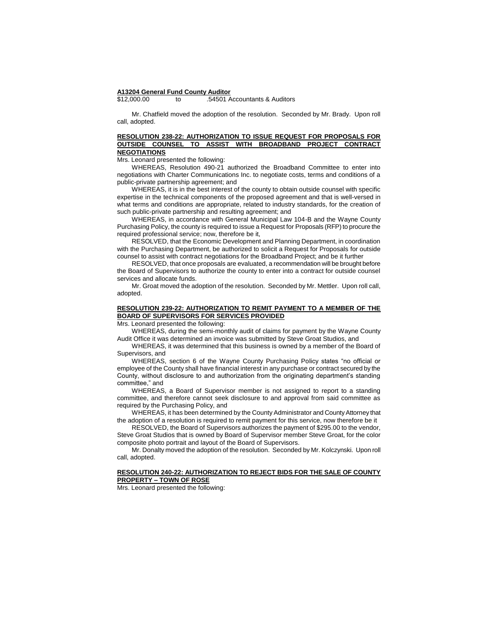#### **A13204 General Fund County Auditor**

\$12,000.00 to .54501 Accountants & Auditors

Mr. Chatfield moved the adoption of the resolution. Seconded by Mr. Brady. Upon roll call, adopted.

# **RESOLUTION 238-22: AUTHORIZATION TO ISSUE REQUEST FOR PROPOSALS FOR OUTSIDE COUNSEL TO ASSIST WITH BROADBAND PROJECT CONTRACT NEGOTIATIONS**

Mrs. Leonard presented the following:

WHEREAS, Resolution 490-21 authorized the Broadband Committee to enter into negotiations with Charter Communications Inc. to negotiate costs, terms and conditions of a public-private partnership agreement; and

WHEREAS, it is in the best interest of the county to obtain outside counsel with specific expertise in the technical components of the proposed agreement and that is well-versed in what terms and conditions are appropriate, related to industry standards, for the creation of such public-private partnership and resulting agreement; and

WHEREAS, in accordance with General Municipal Law 104-B and the Wayne County Purchasing Policy, the county is required to issue a Request for Proposals (RFP) to procure the required professional service; now, therefore be it,

RESOLVED, that the Economic Development and Planning Department, in coordination with the Purchasing Department, be authorized to solicit a Request for Proposals for outside counsel to assist with contract negotiations for the Broadband Project; and be it further

RESOLVED, that once proposals are evaluated, a recommendation will be brought before the Board of Supervisors to authorize the county to enter into a contract for outside counsel services and allocate funds.

Mr. Groat moved the adoption of the resolution. Seconded by Mr. Mettler. Upon roll call, adopted.

## **RESOLUTION 239-22: AUTHORIZATION TO REMIT PAYMENT TO A MEMBER OF THE BOARD OF SUPERVISORS FOR SERVICES PROVIDED**

Mrs. Leonard presented the following:

WHEREAS, during the semi-monthly audit of claims for payment by the Wayne County Audit Office it was determined an invoice was submitted by Steve Groat Studios, and

WHEREAS, it was determined that this business is owned by a member of the Board of Supervisors, and

WHEREAS, section 6 of the Wayne County Purchasing Policy states "no official or employee of the County shall have financial interest in any purchase or contract secured by the County, without disclosure to and authorization from the originating department's standing committee," and

WHEREAS, a Board of Supervisor member is not assigned to report to a standing committee, and therefore cannot seek disclosure to and approval from said committee as required by the Purchasing Policy, and

WHEREAS, it has been determined by the County Administrator and County Attorney that the adoption of a resolution is required to remit payment for this service, now therefore be it

RESOLVED, the Board of Supervisors authorizes the payment of \$295.00 to the vendor, Steve Groat Studios that is owned by Board of Supervisor member Steve Groat, for the color composite photo portrait and layout of the Board of Supervisors.

Mr. Donalty moved the adoption of the resolution. Seconded by Mr. Kolczynski. Upon roll call, adopted.

#### **RESOLUTION 240-22: AUTHORIZATION TO REJECT BIDS FOR THE SALE OF COUNTY PROPERTY – TOWN OF ROSE**

Mrs. Leonard presented the following: